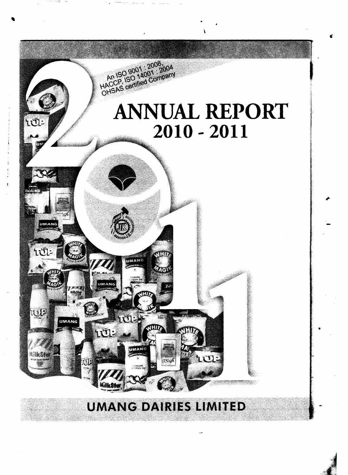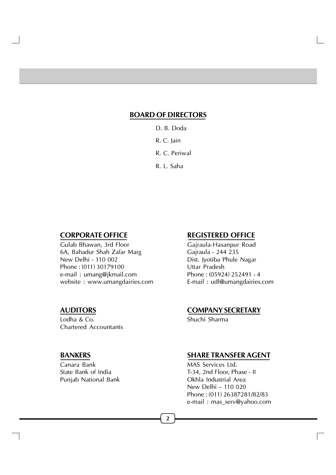# **BOARD OF DIRECTORS**

- D. B. Doda
- R. C. Jain
- R. C. Periwal
- R. L. Saha

Gulab Bhawan, 3rd Floor Gajraula-Hasanpur Road 6A, Bahadur Shah Zafar Marg Gajraula - 244 235 New Delhi - 110 002 Dist. Jyotiba Phule Nagar Phone : (011) 30179100 Uttar Pradesh e-mail: umang@jkmail.com website : www.umangdairies.com E-mail : udl@umangdairies.com

Lodha & Co. Shuchi Sharma Chartered Accountants

Punjab National Bank

# **CORPORATE OFFICE REGISTERED OFFICE**

# **AUDITORS COMPANY SECRETARY**

# **BANKERS SHARE TRANSFER AGENT**

Canara Bank MAS Services Ltd. State Bank of India<br>
Punjab National Bank<br>
T-34, 2nd Floor, Phase - II<br>
Okhla Industrial Area New Delhi – 110 020 Phone : (011) 26387281/82/83 e-mail : mas\_serv@yahoo.com

**2**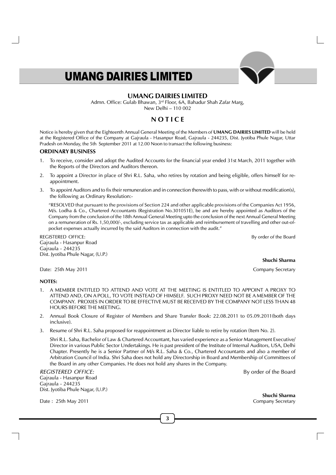## **UMANG DAIRIES LIMITED**

Admn. Office: Gulab Bhawan, 3rd Floor, 6A, Bahadur Shah Zafar Marg, New Delhi – 110 002

# **N O T I C E**

Notice is hereby given that the Eighteenth Annual General Meeting of the Members of **UMANG DAIRIES LIMITED** will be held at the Registered Office of the Company at Gajraula - Hasanpur Road, Gajraula - 244235, Dist. Jyotiba Phule Nagar, Uttar Pradesh on Monday, the 5th September 2011 at 12.00 Noon to transact the following business:

#### **ORDINARY BUSINESS**

- 1. To receive, consider and adopt the Audited Accounts for the financial year ended 31st March, 2011 together with the Reports of the Directors and Auditors thereon.
- 2. To appoint a Director in place of Shri R.L. Saha, who retires by rotation and being eligible, offers himself for reappointment.
- 3. To appoint Auditors and to fix their remuneration and in connection therewith to pass, with or without modification(s), the following as Ordinary Resolution:-

"RESOLVED that pursuant to the provisions of Section 224 and other applicable provisions of the Companies Act 1956, M/s. Lodha & Co., Chartered Accountants (Registration No.301051E), be and are hereby appointed as Auditors of the Company from the conclusion of the 18th Annual General Meeting upto the conclusion of the next Annual General Meeting on a remuneration of Rs. 1,50,000/-, excluding service tax as applicable and reimbursement of travelling and other out-ofpocket expenses actually incurred by the said Auditors in connection with the audit."

REGISTERED OFFICE: By order of the Board

Date: 25th May 2011 **Date: 25th May 2011** Company Secretary

Gajraula - Hasanpur Road Gajraula - 244235

Dist. Jyotiba Phule Nagar, (U.P.)

#### **NOTES:**

- 1. A MEMBER ENTITLED TO ATTEND AND VOTE AT THE MEETING IS ENTITLED TO APPOINT A PROXY TO ATTEND AND, ON A POLL, TO VOTE INSTEAD OF HIMSELF. SUCH PROXY NEED NOT BE A MEMBER OF THE COMPANY. PROXIES IN ORDER TO BE EFFECTIVE MUST BE RECEIVED BY THE COMPANY NOT LESS THAN 48 HOURS BEFORE THE MEETING.
- 2. Annual Book Closure of Register of Members and Share Transfer Book: 22.08.2011 to 05.09.2011(both days inclusive).
- 3. Resume of Shri R.L. Saha proposed for reappointment as Director liable to retire by rotation (Item No. 2).

Shri R.L. Saha, Bachelor of Law & Chartered Accountant, has varied experience as a Senior Management Executive/ Director in various Public Sector Undertakings. He is past president of the Institute of Internal Auditors, USA, Delhi Chapter. Presently he is a Senior Partner of M/s R.L. Saha & Co., Chartered Accountants and also a member of Arbitration Council of India. Shri Saha does not hold any Directorship in Board and Membership of Committees of the Board in any other Companies. He does not hold any shares in the Company.

REGISTERED OFFICE:By order of the Board Gajraula - Hasanpur Road Gajraula - 244235 Dist. Jyotiba Phule Nagar, (U.P.)

Date : 25th May 2011 **Company Secretary** Company Secretary

**Shuchi Sharma**

**3**

**Shuchi Sharma**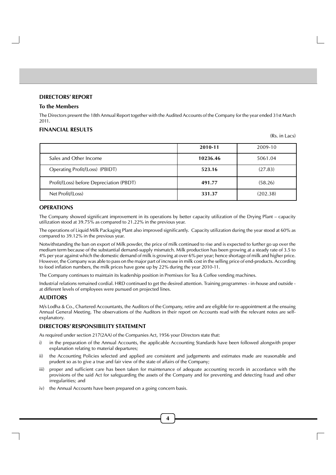#### **DIRECTORS' REPORT**

#### **To the Members**

The Directors present the 18th Annual Report together with the Audited Accounts of the Company for the year ended 31st March 2011.

#### **FINANCIAL RESULTS**

(Rs. in Lacs)

|                                          | 2010-11  | 2009-10  |
|------------------------------------------|----------|----------|
| Sales and Other Income                   | 10236.46 | 5061.04  |
| Operating Profit/(Loss) (PBIDT)          | 523.16   | (27.83)  |
| Profit/(Loss) before Depreciation (PBDT) | 491.77   | (58.26)  |
| Net Profit/(Loss)                        | 331.37   | (202.38) |

## **OPERATIONS**

The Company showed significant improvement in its operations by better capacity utilization of the Drying Plant – capacity utilization stood at 39.75% as compared to 21.22% in the previous year.

The operations of Liquid Milk Packaging Plant also improved significantly. Capacity utilization during the year stood at 60% as compared to 39.12% in the previous year.

Notwithstanding the ban on export of Milk powder, the price of milk continued to rise and is expected to further go up over the medium term because of the substantial demand-supply mismatch. Milk production has been growing at a steady rate of 3.5 to 4% per year against which the domestic demand of milk is growing at over 6% per year; hence shortage of milk and higher price. However, the Company was able to pass on the major part of increase in milk cost in the selling price of end-products. According to food inflation numbers, the milk prices have gone up by 22% during the year 2010-11.

The Company continues to maintain its leadership position in Premixes for Tea & Coffee vending machines.

Industrial relations remained cordial. HRD continued to get the desired attention. Training programmes - in-house and outside at different levels of employees were pursued on projected lines.

#### **AUDITORS**

M/s Lodha & Co., Chartered Accountants, the Auditors of the Company, retire and are eligible for re-appointment at the ensuing Annual General Meeting. The observations of the Auditors in their report on Accounts read with the relevant notes are selfexplanatory.

#### **DIRECTORS' RESPONSIBILITY STATEMENT**

As required under section 217(2AA) of the Companies Act, 1956 your Directors state that:

- i) in the preparation of the Annual Accounts, the applicable Accounting Standards have been followed alongwith proper explanation relating to material departures;
- ii) the Accounting Policies selected and applied are consistent and judgements and estimates made are reasonable and prudent so as to give a true and fair view of the state of affairs of the Company;
- iii) proper and sufficient care has been taken for maintenance of adequate accounting records in accordance with the provisions of the said Act for safeguarding the assets of the Company and for preventing and detecting fraud and other irregularities; and
- iv) the Annual Accounts have been prepared on a going concern basis.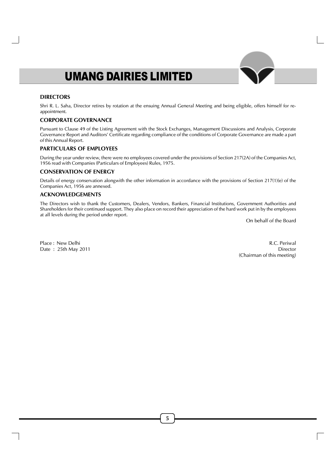#### **DIRECTORS**

Shri R. L. Saha, Director retires by rotation at the ensuing Annual General Meeting and being eligible, offers himself for reappointment.

## **CORPORATE GOVERNANCE**

Pursuant to Clause 49 of the Listing Agreement with the Stock Exchanges, Management Discussions and Analysis, Corporate Governance Report and Auditors' Certificate regarding compliance of the conditions of Corporate Governance are made a part of this Annual Report.

#### **PARTICULARS OF EMPLOYEES**

During the year under review, there were no employees covered under the provisions of Section 217(2A) of the Companies Act, 1956 read with Companies (Particulars of Employees) Rules, 1975.

## **CONSERVATION OF ENERGY**

Details of energy conservation alongwith the other information in accordance with the provisions of Section 217(1)(e) of the Companies Act, 1956 are annexed.

#### **ACKNOWLEDGEMENTS**

The Directors wish to thank the Customers, Dealers, Vendors, Bankers, Financial Institutions, Government Authorities and Shareholders for their continued support. They also place on record their appreciation of the hard work put in by the employees at all levels during the period under report.

On behalf of the Board

Place : New Delhi R.C. Periwal Date : 25th May 2011 Director (Chairman of this meeting)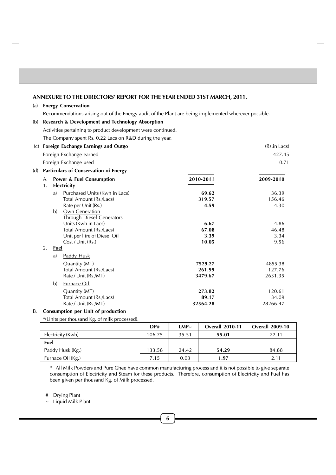#### **ANNEXURE TO THE DIRECTORS' REPORT FOR THE YEAR ENDED 31ST MARCH, 2011.**

#### (a) **Energy Conservation**

Recommendations arising out of the Energy audit of the Plant are being implemented wherever possible.

## (b) **Research & Development and Technology Absorption** Activities pertaining to product development were continued. The Company spent Rs. 0.22 Lacs on R&D during the year. (c) **Foreign Exchange Earnings and Outgo** (Rs.in Lacs) (Rs.in Lacs) Foreign Exchange earned **427.45** Foreign Exchange used 0.71 (d) **Particulars of Conservation of Energy** A. **Power & Fuel Consumption 2010-2011 2009-2010** 1. **Electricity** a) Purchased Units (Kwh in Lacs) **69.62** 36.39 Total Amount (Rs./Lacs) **319.57** 156.46 Rate per Unit (Rs.) **4.59** 4.30 b) Own Generation Through Diesel Generators Units (Kwh in Lacs) **6.67** 4.86<br>
Total Amount (Rs./Lacs) **67.08** 46.48 **Total Amount (Rs./Lacs)** Unit per litre of Diesel Oil **3.39** 3.34 Cost / Unit (Rs.) **10.05** 9.56 2. **Fuel** a) Paddy Husk Quantity (MT) **7529.27** 4855.38<br>
Total Amount (Rs./Lacs) **127.76** 261.99 127.76 Total Amount (Rs./Lacs) **261.99** 127.76<br>
Rate / Unit (Rs./MT) 3479.67 2631.35 Rate / Unit (Rs./MT) **3479.67** 2631.35 b) Furnace Oil Quantity (MT) **273.82** 120.61 Total Amount (Rs./Lacs) **89.17** 34.09 Rate / Unit (Rs./MT) **32564.28** 28266.47

#### B. **Consumption per Unit of production**

\*(Units per thousand Kg. of milk processed).

|                   | DP#    | LMP∼  | <b>Overall 2010-11</b> | <b>Overall 2009-10</b> |
|-------------------|--------|-------|------------------------|------------------------|
| Electricity (Kwh) | 106.75 | 35.51 | 55.01                  | 72.11                  |
| <b>Euel</b>       |        |       |                        |                        |
| Paddy Husk (Kg.)  | 133.58 | 24.42 | 54.29                  | 84.88                  |
| Furnace Oil (Kg.) | 7.15   | 0.03  | 1.97                   | 2.11                   |

\* All Milk Powders and Pure Ghee have common manufacturing process and it is not possible to give separate consumption of Electricity and Steam for these products. Therefore, consumption of Electricity and Fuel has been given per thousand Kg. of Milk processed.

# Drying Plant

~ Liquid Milk Plant

**6**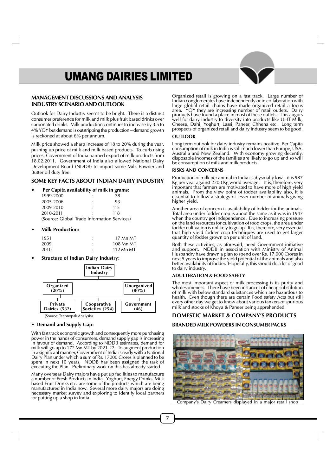#### **MANAGEMENT DISCUSSIONS AND ANALYSIS INDUSTRY SCENARIO AND OUTLOOK**

Outlook for Dairy Industry seems to be bright. There is a distinct consumer preference for milk and milk plus fruit based drinks over carbonated drinks. Milk production continues to increase by 3.5 to 4% YOY but demand is outstripping the production – demand growth is reckoned at about 6% per annum.

Milk price showed a sharp increase of 18 to 20% during the year, pushing up price of milk and milk based products. To curb rising prices, Government of India banned export of milk products from 18.02.2011. Government of India also allowed National Dairy Development Board (NDDB) to import some Milk Powder and Butter oil duty free.

#### **SOME KEY FACTS ABOUT INDIAN DAIRY INDUSTRY**

#### **• Per Capita availability of milk in grams:**

| 1999-2000                                   | ٠              | 78  |
|---------------------------------------------|----------------|-----|
| 2005-2006                                   |                | 93  |
| 2009-2010                                   | $\ddot{\cdot}$ | 115 |
| 2010-2011                                   | ٠              | 118 |
| (Source: Global Trade Information Services) |                |     |

#### **• Milk Production:**

| 1951 | ٠ | 17 Mn MT  |
|------|---|-----------|
| 2009 |   | 108 Mn MT |
| 2010 | ٠ | 112 Mn MT |

**• Structure of Indian Dairy Industry:**



#### **• Demand and Supply Gap:**

With fast track economic growth and consequently more purchasing power in the hands of consumers, demand supply gap is increasing in favour of demand. According to NDDB estimates, demand for milk will go up to 172 Mn MT by 2021-22. To augment production in a significant manner, Government of India is ready with a National Dairy Plan under which a sum of Rs. 17000 Crores is planned to be spent in next 10 years. NDDB has been assigned the task of executing the Plan. Preliminary work on this has already started.

Many overseas Dairy majors have put up facilities to manufacture a number of Fresh Products in India. Yoghurt, Energy Drinks, Milk based Fruit Drinks etc. are some of the products which are being manufactured in India now. Several more dairy majors are doing necessary market survey and exploring to identify local partners for putting up a shop in India.

Organized retail is growing on a fast track. Large number of Indian conglomerates have independently or in collaboration with large global retail chains have made organized retail a focus area. YOY they are increasing number of retail outlets. Dairy products have found a place in most of these outlets. This augurs well for dairy industry to diversify into products like UHT Milk, Cheese, Dahi, Yoghurt, Lassi, Paneer, Chhena etc. Long term prospects of organized retail and dairy industry seem to be good.

#### **OUTLOOK**

Long term outlook for dairy industry remains positive. Per Capita consumption of milk in India is still much lower than Europe, USA, Australia and New Zealand. With economy growing decently, disposable incomes of the families are likely to go up and so will be consumption of milk and milk products.

#### **RISKS AND CONCERNS**

Production of milk per animal in India is abysmally low – it is 987 Kg per year against 2200 Kg world average. It is, therefore, very important that farmers are motivated to have more of high yield animals. From the view point of fodder availability also, it is essential to follow a strategy of lesser number of animals giving higher yield.

Another area of concern is availability of fodder for the animals. Total area under fodder crop is about the same as it was in  $1947$ when the country got independence. Due to increasing pressure on the land resources for cultivation of food crops, the area under fodder cultivation is unlikely to go up. It is, therefore, very essential that high yield fodder crop techniques are used to get larger quantity of fodder grown on per unit of land.

Both these activities, as aforesaid, need Government initiative and support. NDDB in association with Ministry of Animal Husbandry have drawn a plan to spend over Rs. 17,000 Crores in next 5 years to improve the yield potential of the animals and also better availability of fodder. Hopefully, this should do a lot of good to dairy industry.

#### **ADULTERATION & FOOD SAFETY**

The most important aspect of milk processing is its purity and wholesomeness. There have been instances of cheap substitution of milk with below standard substances which are hazardous to health. Even though there are certain Food safety Acts but still every other day we get to know about various tankers of spurious milk and stocks of Khoya & Paneer being apprehended.

# **DOMESTIC MARKET & COMPANY'S PRODUCTS**

#### **BRANDED MILK POWDERS IN CONSUMER PACKS**

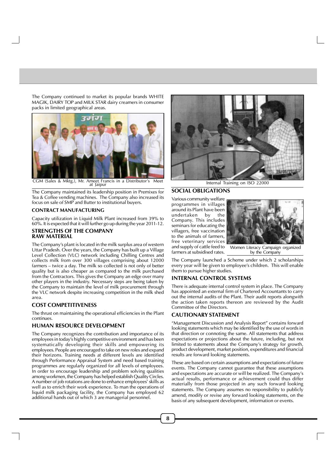The Company continued to market its popular brands WHITE MAGIK, DAIRY TOP and MILK STAR dairy creamers in consumer packs in limited geographical areas.



CGM (Sales & Mktg.), Mr. Ameet Francis in a Distributor's Meet at Jaipur

The Company maintained its leadership position in Premixes for Tea & Coffee vending machines. The Company also increased its focus on sale of SMP and Butter to institutional buyers.

#### **CONTRACT MANUFACTURING**

Capacity utilization in Liquid Milk Plant increased from 39% to 60%. It is expected that it will further go up during the year 2011-12.

#### **STRENGTHS OF THE COMPANY RAW MATERIAL**

The Company's plant is located in the milk surplus area of western Uttar Pradesh. Over the years, the Company has built up a Village Level Collection (VLC) network including Chilling Centres and collects milk from over 300 villages comprising about 12000 farmers – twice a day. The milk so collected is not only of better quality but is also cheaper as compared to the milk purchased from the Contractors. This gives the Company an edge over many other players in the industry. Necessary steps are being taken by the Company to maintain the level of milk procurement through the VLC network despite increasing competition in the milk shed area.

#### **COST COMPETITIVENESS**

The thrust on maintaining the operational efficiencies in the Plant continues.

#### **HUMAN RESOURCE DEVELOPMENT**

The Company recognizes the contribution and importance of its employees in today's highly competitive environment and has been systematically developing their skills and empowering its employees. People are encouraged to take on new roles and expand their horizons. Training needs at different levels are identified through Performance Appraisal System and need based training programmes are regularly organized for all levels of employees. In order to encourage leadership and problem solving qualities among workmen, the Company has helped establish Quality Circles. A number of job rotations are done to enhance employees' skills as well as to enrich their work experience. To man the operations of liquid milk packaging facility, the Company has employed 62 additional hands out of which 3 are managerial personnel.



Internal Training on ISO 22000

#### **SOCIAL OBLIGATIONS**

Various community welfare programmes in villages around its Plant have been undertaken by the Company. This includes seminars for educating the villagers, free vaccination to the animals of farmers, free veterinary services and supply of cattle feed to farmers at subsidised rates.



Women Literacy Campaign organized by the Company

The Company launched a Scheme under which 2 scholarships every year will be given to employee's children. This will enable them to pursue higher studies.

#### **INTERNAL CONTROL SYSTEMS**

There is adequate internal control system in place. The Company has appointed an external firm of Chartered Accountants to carry out the internal audits of the Plant. Their audit reports alongwith the action taken reports thereon are reviewed by the Audit Committee of the Directors.

#### **CAUTIONARY STATEMENT**

"Management Discussion and Analysis Report" contains forward looking statements which may be identified by the use of words in that direction or connoting the same. All statements that address expectations or projections about the future, including, but not limited to statements about the Company's strategy for growth, product development, market position, expenditures and financial results are forward looking statements.

These are based on certain assumptions and expectations of future events. The Company cannot guarantee that these assumptions and expectations are accurate or will be realized. The Company's actual results, performance or achievement could thus differ materially from those projected in any such forward looking statements. The Company assumes no responsibility to publicly amend, modify or revise any forward looking statements, on the basis of any subsequent development, information or events.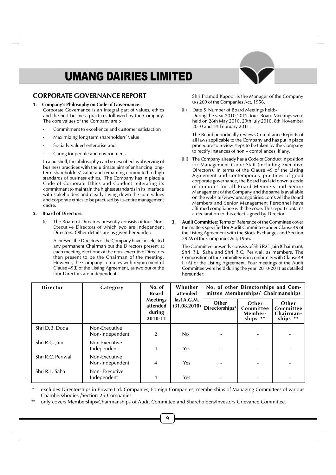## **CORPORATE GOVERNANCE REPORT**

- **1. Company's Philosophy on Code of Governance:** Corporate Governance is an integral part of values, ethics and the best business practices followed by the Company. The core values of the Company are :-
	- Commitment to excellence and customer satisfaction
	- Maximizing long term shareholders' value
	- Socially valued enterprise and
	- Caring for people and environment.

In a nutshell, the philosophy can be described as observing of business practices with the ultimate aim of enhancing longterm shareholders' value and remaining committed to high standards of business ethics. The Company has in place a Code of Corporate Ethics and Conduct reiterating its commitment to maintain the highest standards in its interface with stakeholders and clearly laying down the core values and corporate ethics to be practised by its entire management cadre.

#### **2. Board of Directors:**

The Board of Directors presently consists of four Non-Executive Directors of which two are Independent Directors. Other details are as given hereunder:

At present the Directors of the Company have not elected any permanent Chairman but the Directors present at each meeting elect one of the non- executive Directors then present to be the Chairman of the meeting. However, the Company complies with requirement of Clause 49(I) of the Listing Agreement, as two out of the four Directors are independent.

Shri Pramod Kapoor is the Manager of the Company u/s 269 of the Companies Act, 1956.

(ii) Date & Number of Board Meetings held:- During the year 2010-2011, four Board Meetings were held on 28th May 2010, 29th July 2010, 8th November 2010 and 1st February 2011 .

The Board periodically reviews Compliance Reports of all laws applicable to the Company and has put in place procedure to review steps to be taken by the Company to rectify instances of non – compliances, if any.

- (iii) The Company already has a Code of Conduct in position for Management Cadre Staff (including Executive Directors). In terms of the Clause 49 of the Listing Agreement and contemporary practices of good corporate governance, the Board has laid down a code of conduct for all Board Members and Senior Management of the Company and the same is available on the website (www.umangdairies.com). All the Board Members and Senior Management Personnel have affirmed compliance with the code. This report contains a declaration to this effect signed by Director.
- **3. Audit Committee:** Terms of Reference of the Committee cover the matters specified for Audit Committee under Clause 49 of the Listing Agreement with the Stock Exchanges and Section 292A of the Companies Act, 1956.

The Committee presently consists of Shri R.C. Jain (Chairman), Shri R.L. Saha and Shri R.C. Periwal, as members. The Composition of the Committee is in conformity with Clause 49 II (A) of the Listing Agreement. Four meetings of the Audit Committee were held during the year 2010-2011 as detailed hereunder:

| <b>Director</b>   | Category                         | No. of<br><b>Board</b>                           | Whether<br>attended         |                         | No. of other Directorships and Com-<br>mittee Memberships/ Chairmanships |                                             |  |  |  |
|-------------------|----------------------------------|--------------------------------------------------|-----------------------------|-------------------------|--------------------------------------------------------------------------|---------------------------------------------|--|--|--|
|                   |                                  | <b>Meetings</b><br>attended<br>during<br>2010-11 | last A.G.M.<br>(31.08.2010) | Other<br>Directorships* | Other<br>Committee<br>Member-<br>ships **                                | Other<br>Committee<br>Chairman-<br>ships ** |  |  |  |
| Shri D.B. Doda    | Non-Executive<br>Non-Independent | 2                                                | No.                         |                         |                                                                          |                                             |  |  |  |
| Shri R.C. Jain    | Non-Executive<br>Independent     | 4                                                | Yes                         |                         |                                                                          |                                             |  |  |  |
| Shri R.C. Periwal | Non-Executive<br>Non-Independent | 4                                                | Yes                         |                         |                                                                          |                                             |  |  |  |
| Shri R.L. Saha    | Non-Executive<br>Independent     | 4                                                | Yes                         |                         |                                                                          |                                             |  |  |  |

excludes Directorships in Private Ltd. Companies, Foreign Companies, memberships of Managing Committees of various Chambers/bodies /Section 25 Companies.

only covers Memberships/Chairmanships of Audit Committee and Shareholders/Investors Grievance Committee.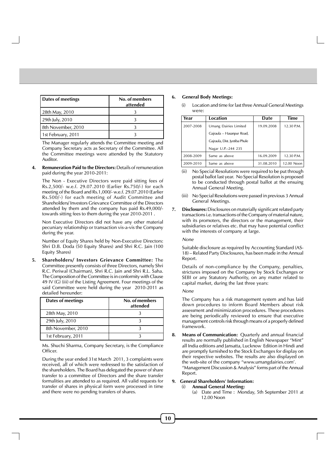| Dates of meetings  | No. of members<br>attended |
|--------------------|----------------------------|
| 28th May, 2010     |                            |
| 29th July, 2010    |                            |
| 8th November, 2010 |                            |
| 1st February, 2011 |                            |

The Manager regularly attends the Committee meeting and Company Secretary acts as Secretary of the Committee. All the Committee meetings were attended by the Statutory Auditor.

**4. Remuneration Paid to the Directors:** Details of remuneration paid during the year 2010-2011:

The Non - Executive Directors were paid sitting fees of Rs.2,500/- w.e.f. 29.07.2010 (Earlier Rs.750/-) for each meeting of the Board and Rs.1,000/- w.e.f. 29.07.2010 (Earlier Rs.500/-) for each meeting of Audit Committee and Shareholders/ Investors Grievance Committee of the Directors attended by them and the company has paid Rs.49,000/ towards sitting fees to them during the year 2010-2011 .

Non Executive Directors did not have any other material pecuniary relationship or transaction vis-a-vis the Company during the year.

Number of Equity Shares held by Non-Executive Directors: Shri D.B. Doda (50 Equity Shares) and Shri R.C. Jain (100 Equity Shares)

**5. Shareholders/ Investors Grievance Committee:** The Committee presently consists of three Directors, namely Shri R.C. Periwal (Chairman), Shri R.C. Jain and Shri R.L. Saha. The Composition of the Committee is in conformity with Clause 49 IV (G) (iii) of the Listing Agreement. Four meetings of the said Committee were held during the year 2010-2011 as detailed hereunder:

| <b>Dates of meetings</b> | No. of members<br>attended |
|--------------------------|----------------------------|
| 28th May, 2010           |                            |
| 29th July, 2010          |                            |
| 8th November, 2010       |                            |
| 1st February, 2011       |                            |

Ms. Shuchi Sharma, Company Secretary, is the Compliance Officer.

During the year ended 31st March 2011, 3 complaints were received, all of which were redressed to the satisfaction of the shareholders. The Board has delegated the power of share transfer to a committee of Directors and the share transfer formalities are attended to as required. All valid requests for transfer of shares in physical form were processed in time and there were no pending transfers of shares.

## **6. General Body Meetings:**

(i) Location and time for last three Annual General Meetings were:

| Year      | Location                      | Date       | <b>Time</b> |
|-----------|-------------------------------|------------|-------------|
| 2007-2008 | Umang Dairies Limited         | 19.09.2008 | 12.30 P.M.  |
|           | Gajraula - Hasanpur Road,     |            |             |
|           | Gajraula, Dist. Jyotiba Phule |            |             |
|           | Nagar U.P.-244 235            |            |             |
| 2008-2009 | Same as above                 | 16.09.2009 | 12.30 P.M.  |
| 2009-2010 | Same as above                 | 31.08.2010 | 12.00 Noon  |

- (ii) No Special Resolutions were required to be put through postal ballot last year. No Special Resolution is proposed to be conducted through postal ballot at the ensuing Annual General Meeting.
- (iii) No Special Resolutions were passed in previous 3 Annual General Meetings.
- **7. Disclosures:** Disclosures on materially significant related party transactions i.e. transactions of the Company of material nature, with its promoters, the directors or the management, their subsidiaries or relatives etc. that may have potential conflict with the interests of company at large.

#### None

Suitable disclosure as required by Accounting Standard (AS-18) – Related Party Disclosures, has been made in the Annual Report.

Details of non-compliance by the Company, penalties, strictures imposed on the Company by Stock Exchanges or SEBI or any Statutory Authority, on any matter related to capital market, during the last three years:

#### None

The Company has a risk management system and has laid down procedures to inform Board Members about risk assessment and minimization procedures. These procedures are being periodically reviewed to ensure that executive management controls risk through means of a properly defined framework.

**8. Means of Communication:** Quarterly and annual financial results are normally published in English Newspaper "Mint" all India editions and Jansatta, Lucknow Edition in Hindi and are promptly furnished to the Stock Exchanges for display on their respective websites. The results are also displayed on the web-site of the company "www.umangdairies.com'. "Management Discussion & Analysis" forms part of the Annual Report.

#### **9. General Shareholders' Information:**

- (i) **Annual General Meeting:**
	- (a) Date and Time : Monday, 5th September 2011 at 12.00 Noon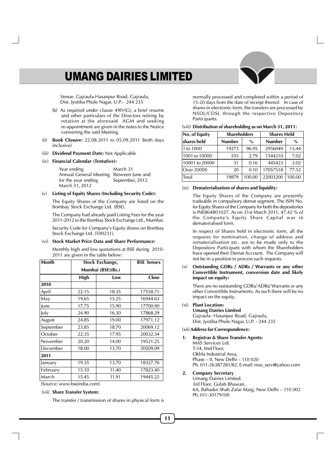Venue: Gajraula-Hasanpur Road, Gajraula, Dist. Jyotiba Phule Nagar, U.P.- 244 235

- (b) As required under clause 49IV(G), a brief resume and other particulars of the Directors retiring by rotation at the aforesaid AGM and seeking re-appointment are given in the notes to the Notice convening the said Meeting.
- (ii) **Book Closure:** 22.08.2011 to 05.09.2011 (both days inclusive)
- (iii) **Dividend Payment Date:** Not Applicable
- (iv) **Financial Calendar (Tentative):**

| Year ending                             | March 31        |
|-----------------------------------------|-----------------|
| Annual General Meeting Between June and |                 |
| for the year ending                     | September, 2012 |
| March 31, 2012                          |                 |

#### (v) **Listing of Equity Shares (Including Security Code):**

The Equity Shares of the Company are listed on the Bombay Stock Exchange Ltd. (BSE).

The Company had already paid Listing Fees for the year 2011-2012 to the Bombay Stock Exchange Ltd., Mumbai. Security Code for Company's Equity shares on Bombay

Stock Exchange Ltd. (500231).

#### (vi) **Stock Market Price Data and Share Performance:**

Monthly high and low quotations at BSE during 2010- 2011 are given in the table below:

| <b>Month</b> | Stock Exchange, | <b>BSE Sensex</b> |              |
|--------------|-----------------|-------------------|--------------|
|              |                 | Mumbai (BSE)(Rs.) |              |
|              | High            | Low               | <b>Close</b> |
| 2010         |                 |                   |              |
| April        | 22.15           | 18.35             | 17558.71     |
| May          | 19.65           | 15.25             | 16944.63     |
| June         | 17.75           | 15.90             | 17700.90     |
| July         | 24.90           | 16.30             | 17868.29     |
| August       | 24.85           | 19.00             | 17971.12     |
| September    | 23.85           | 18.70             | 20069.12     |
| October      | 22.35           | 17.95             | 20032.34     |
| November     | 20.20           | 14.00             | 19521.25     |
| December     | 18.00           | 13.70             | 20509.09     |
| 2011         |                 |                   |              |
| January      | 19.35           | 13.70             | 18327.76     |
| February     | 15.10           | 11.40             | 17823.40     |
| March        | 15.45           | 11.91             | 19445.22     |

(Source: www.bseindia.com)

#### (vii) **Share Transfer System:**

The transfer / transmission of shares in physical form is

normally processed and completed within a period of 15-20 days from the date of receipt thereof. In case of shares in electronic form, the transfers are processed by NSDL/CDSL through the respective Depository Participants.

|  |  |  | (viii) Distribution of shareholding as on March 31, 2011: |  |  |  |  |  |  |  |  |  |  |  |
|--|--|--|-----------------------------------------------------------|--|--|--|--|--|--|--|--|--|--|--|
|--|--|--|-----------------------------------------------------------|--|--|--|--|--|--|--|--|--|--|--|

| No. of Equity  |               | <b>Shareholders</b><br><b>Shares Held</b> |               |               |
|----------------|---------------|-------------------------------------------|---------------|---------------|
| shares held    | <b>Number</b> | $\%$                                      | <b>Number</b> | $\frac{0}{0}$ |
| 1 to 1000      | 19273         | 96.95                                     | 2956049       | 13.44         |
| 1001 to 10000  | 555           | 2.79                                      | 1544210       | 7.02          |
| 10001 to 20000 | 31            | 0.16                                      | 445423        | 2.02          |
| Over 20000     | 20            | 0.10                                      | 17057518      | 77.52         |
| Total          | 19879         | 100.00                                    | 22003200      | 100.00        |

#### (ix) **Dematerialisation of shares and liquidity:**

The Equity Shares of the Company are presently tradeable in compulsory demat segment. The ISIN No. for Equity Shares of the Company for both the depositories is INE864B01027. As on 31st March 2011, 47.42 % of the Company's Equity Share Capital was in dematerialised form.

In respect of Shares held in electronic form, all the requests for nomination, change of address and rematerialisation etc. are to be made only to the Depository Participant with whom the Shareholders have opened their Demat Account. The Company will not be in a position to process such requests.

#### (x) **Outstanding GDRs / ADRs / Warrants or any other Convertible Instrument, conversion date and likely impact on equity:**

There are no outstanding GDRs/ ADRs/ Warrants or any other Convertible Instruments. As such there will be no impact on the equity.

#### (xi) **Plant Location:**

**Umang Dairies Limited** Gajraula- Hasanpur Road, Gajraula, Dist. Jyotiba Phule Nagar, U.P. - 244 235

#### (xii) **Address for Correspondence:**

**1. Registrar & Share Transfer Agents:** MAS Services Ltd. T-34, IInd Floor,

Okhla Industrial Area, Phase – II, New Delhi – 110 020 Ph. 011-26387281/82, E-mail: mas\_serv@yahoo.com

#### **2. Company Secretary**

Umang Dairies Limited. 3rd Floor, Gulab Bhawan, 6A, Bahadur Shah Zafar Marg, New Delhi – 110 002 Ph. 011-30179100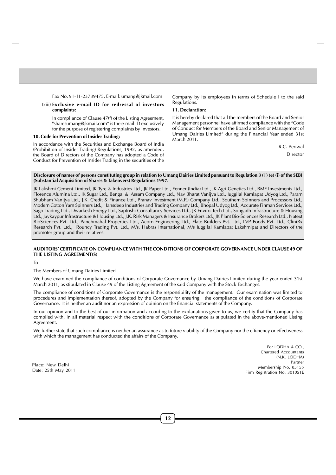Fax No. 91-11-23739475, E-mail: umang@jkmail.com

#### (xiii) **Exclusive e-mail ID for redressal of investors complaints:**

In compliance of Clause 47(f) of the Listing Agreement, "sharesumang@jkmail.com" is the e-mail ID exclusively for the purpose of registering complaints by investors.

#### **10. Code for Prevention of Insider Trading:**

In accordance with the Securities and Exchange Board of India (Prohibition of Insider Trading) Regulations, 1992, as amended, the Board of Directors of the Company has adopted a Code of Conduct for Prevention of Insider Trading in the securities of the Company by its employees in terms of Schedule I to the said Regulations.

#### **11. Declaration:**

It is hereby declared that all the members of the Board and Senior Management personnel have affirmed compliance with the "Code of Conduct for Members of the Board and Senior Management of Umang Dairies Limited" during the Financial Year ended 31st March<sub>2011</sub>.

> R.C. Periwal Director

#### **Disclosure of names of persons constituting group in relation to Umang Dairies Limited pursuant to Regulation 3 (1) (e) (i) of the SEBI (Substantial Acquisition of Shares & Takeovers) Regulations 1997.**

JK Lakshmi Cement Limited, JK Tyre & Industries Ltd., JK Paper Ltd., Fenner (India) Ltd., JK Agri Genetics Ltd., BMF Investments Ltd., Florence Alumina Ltd., JK Sugar Ltd., Bengal & Assam Company Ltd., Nav Bharat Vanijya Ltd., Juggilal Kamlapat Udyog Ltd., Param Shubham Vanijya Ltd., J.K. Credit & Finance Ltd., Pranav Investment (M.P.) Company Ltd., Southern Spinners and Processors Ltd., Modern Cotton Yarn Spinners Ltd., Hansdeep Industries and Trading Company Ltd., Bhopal Udyog Ltd., Accurate Finman Services Ltd., Sago Trading Ltd., Dwarkesh Energy Ltd., Saptrishi Consultancy Services Ltd., JK Enviro-Tech Ltd., Songadh Infrastructure & Housing Ltd., Jaykaypur Infrastructure & Housing Ltd., J.K. Risk Managers & Insurance Brokers Ltd., JK Plant Bio-Sciences Research Ltd., Natext BioSciences Pvt. Ltd., Panchmahal Properties Ltd., Acorn Engineering Ltd., Elate Builders Pvt. Ltd., LVP Foods Pvt. Ltd., CliniRx Research Pvt. Ltd., Rouncy Trading Pvt. Ltd., M/s. Habras International, M/s Juggilal Kamlapat Lakshmipat and Directors of the promoter group and their relatives.

#### **AUDITORS' CERTIFICATE ON COMPLIANCE WITH THE CONDITIONS OF CORPORATE GOVERNANCE UNDER CLAUSE 49 OF THE LISTING AGREEMENT(S)**

To

#### The Members of Umang Dairies Limited

We have examined the compliance of conditions of Corporate Governance by Umang Dairies Limited during the year ended 31st March 2011, as stipulated in Clause 49 of the Listing Agreement of the said Company with the Stock Exchanges.

The compliance of conditions of Corporate Governance is the responsibility of the management. Our examination was limited to procedures and implementation thereof, adopted by the Company for ensuring the compliance of the conditions of Corporate Governance. It is neither an audit nor an expression of opinion on the financial statements of the Company.

In our opinion and to the best of our information and according to the explanations given to us, we certify that the Company has complied with, in all material respect with the conditions of Corporate Governance as stipulated in the above-mentioned Listing Agreement.

We further state that such compliance is neither an assurance as to future viability of the Company nor the efficiency or effectiveness with which the management has conducted the affairs of the Company.

> For LODHA & CO., Chartered Accountants (N.K. LODHA) Partner Membership No. 85155 Firm Registration No. 301051E

Place: New Delhi Date: 25th May 2011

**12**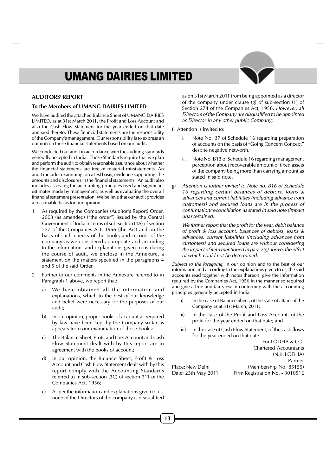#### **AUDITORS' REPORT**

#### **To the Members of UMANG DAIRIES LIMITED**

We have audited the attached Balance Sheet of UMANG DAIRIES LIMITED, as at 31st March 2011, the Profit and Loss Account and also the Cash Flow Statement for the year ended on that date annexed thereto. These financial statements are the responsibility of the Company's management. Our responsibility is to express an opinion on these financial statements based on our audit.

We conducted our audit in accordance with the auditing standards generally accepted in India. Those Standards require that we plan and perform the audit to obtain reasonable assurance about whether the financial statements are free of material misstatements. An audit includes examining, on a test basis, evidence supporting, the amounts and disclosures in the financial statements. An audit also includes assessing the accounting principles used and significant estimates made by management, as well as evaluating the overall financial statement presentation. We believe that our audit provides a reasonable basis for our opinion.

- 1 As required by the Companies (Auditor's Report) Order, 2003 (as amended) ("the order") issued by the Central Government of India in terms of sub-section (4A) of section 227 of the Companies Act, 1956 (the Act) and on the basis of such checks of the books and records of the company as we considered appropriate and according to the information and explanations given to us during the course of audit, we enclose in the Annexure, a statement on the matters specified in the paragraphs 4 and 5 of the said Order.
- 2 Further to our comments in the Annexure referred to in Paragraph 1 above, we report that:
	- a) We have obtained all the information and explanations, which to the best of our knowledge and belief were necessary for the purposes of our audit;
	- b) In our opinion, proper books of account as required by law have been kept by the Company so far as appears from our examination of those books;
	- c) The Balance Sheet, Profit and Loss Account and Cash Flow Statement dealt with by this report are in agreement with the books of account;
	- d) In our opinion, the Balance Sheet, Profit & Loss Account and Cash Flow Statement dealt with by this report comply with the Accounting Standards referred to in sub-section (3C) of section 211 of the Companies Act, 1956;
	- e) As per the information and explanations given to us, none of the Directors of the company is disqualified

as on 31st March 2011 from being appointed as a director of the company under clause (g) of sub-section (1) of Section 274 of the Companies Act, 1956. However, all Directors of the Company are disqualified to be appointed as Director in any other public Company;

#### f) Attention is invited to:

- i. Note No. B7 of Schedule 16 regarding preparation of accounts on the basis of "Going Concern Concept" despite negative networth.
- ii. Note No. B13 of Schedule 16 regarding management perception about recoverable amount of fixed assets of the company being more than carrying amount as stated in said note.
- g) Attention is further invited to Note no. B16 of Schedule 16 regarding certain balances of debtors, loans & advances and current liabilities (including advance from customers) and secured loans are in the process of confirmation/reconciliation as stated in said note (impact unascertained).

We further report that the profit for the year, debit balance of profit & loss account, balances of debtors, loans & advances, current liabilities (including advances from customers) and secured loans are without considering the impact of item mentioned in para  $2(g)$  above, the effect of which could not be determined.

Subject to the foregoing, in our opinion and to the best of our information and according to the explanations given to us, the said accounts read together with notes thereon, give the information required by the Companies Act, 1956 in the manner so required and give a true and fair view in conformity with the accounting principles generally accepted in India:

- In the case of Balance Sheet, of the state of affairs of the Company as at 31st March, 2011;
- ii) In the case of the Profit and Loss Account, of the profit for the year ended on that date; and
- iii) In the case of Cash Flow Statement, of the cash flows for the year ended on that date.

For LODHA & CO. Chartered Accountants (N.K. LODHA) Partner Place: New Delhi (Membership No. 85155) Date: 25th May 2011 Firm Registration No. - 301051E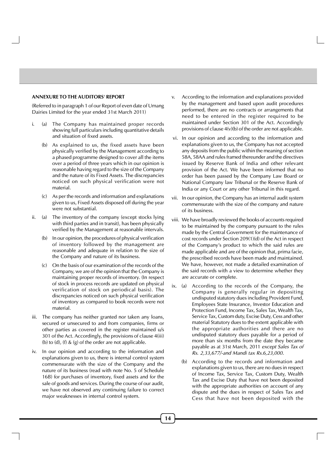#### **ANNEXURE TO THE AUDITORS' REPORT**

(Referred to in paragraph 1 of our Report of even date of Umang Dairies Limited for the year ended 31st March 2011)

- i. (a) The Company has maintained proper records showing full particulars including quantitative details and situation of fixed assets.
	- (b) As explained to us, the fixed assets have been physically verified by the Management according to a phased programme designed to cover all the items over a period of three years which in our opinion is reasonable having regard to the size of the Company and the nature of its Fixed Assets. The discrepancies noticed on such physical verification were not material.
	- (c) As per the records and information and explanations given to us, Fixed Assets disposed off during the year were not substantial.
- ii. (a) The inventory of the company (except stocks lying with third parties and in transit), has been physically verified by the Management at reasonable intervals.
	- (b) In our opinion, the procedures of physical verification of inventory followed by the management are reasonable and adequate in relation to the size of the Company and nature of its business.
	- (c) On the basis of our examination of the records of the Company, we are of the opinion that the Company is maintaining proper records of inventory. (In respect of stock in process records are updated on physical verification of stock on periodical basis). The discrepancies noticed on such physical verification of inventory as compared to book records were not material.
- iii. The company has neither granted nor taken any loans, secured or unsecured to and from companies, firms or other parties as covered in the register maintained u/s 301 of the Act. Accordingly, the provisions of clause 4(iii) (b) to  $(d)$ ,  $(f)$  &  $(g)$  of the order are not applicable.
- iv. In our opinion and according to the information and explanations given to us, there is internal control system commensurate with the size of the Company and the nature of its business (read with note No. 5 of Schedule 16B) for purchases of inventory, fixed assets and for the sale of goods and services. During the course of our audit, we have not observed any continuing failure to correct major weaknesses in internal control system.
- v. According to the information and explanations provided by the management and based upon audit procedures performed, there are no contracts or arrangements that need to be entered in the register required to be maintained under Section 301 of the Act. Accordingly provisions of clause 4(v)(b) of the order are not applicable.
- vi. In our opinion and according to the information and explanations given to us, the Company has not accepted any deposits from the public within the meaning of section 58A, 58AA and rules framed thereunder and the directives issued by Reserve Bank of India and other relevant provision of the Act. We have been informed that no order has been passed by the Company Law Board or National Company law Tribunal or the Reserve Bank of India or any Court or any other Tribunal in this regard.
- vii. In our opinion, the Company has an internal audit system commensurate with the size of the company and nature of its business.
- viii. We have broadly reviewed the books of accounts required to be maintained by the company pursuant to the rules made by the Central Government for the maintenance of cost records under Section 209(1)(d) of the Act in respect of the Company's product to which the said rules are made applicable and are of the opinion that, prima facie, the prescribed records have been made and maintained. We have, however, not made a detailed examination of the said records with a view to determine whether they are accurate or complete.
- ix. (a) According to the records of the Company, the Company is generally regular in depositing undisputed statutory dues including Provident Fund, Employees State Insurance, Investor Education and Protection Fund, Income Tax, Sales Tax, Wealth Tax, Service Tax, Custom duty, Excise Duty, Cess and other material Statutory dues to the extent applicable with the appropriate authorities and there are no undisputed statutory dues payable for a period of more than six months from the date they became payable as at 31st March, 2011 except Sales Tax of Rs. 2,33,677/-and Mandi tax Rs.6,23,000.
	- (b) According to the records and information and explanations given to us, there are no dues in respect of Income Tax, Service Tax, Custom Duty, Wealth Tax and Excise Duty that have not been deposited with the appropriate authorities on account of any dispute and the dues in respect of Sales Tax and Cess that have not been deposited with the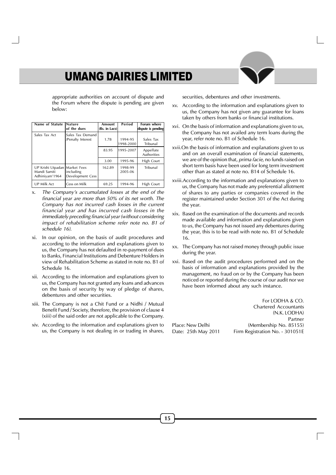appropriate authorities on account of dispute and the Forum where the dispute is pending are given below:

| Name of Statute                                                 | <b>Nature</b><br>of the dues          | Amount<br>(Rs. in Lacs) | Period               | Forum where<br>dispute is pending |
|-----------------------------------------------------------------|---------------------------------------|-------------------------|----------------------|-----------------------------------|
| Sales Tax Act                                                   | Sales Tax Demand<br>/Penalty Interest | 1.78                    | 1994-95<br>1998-2000 | Sales Tax<br>Tribunal             |
|                                                                 |                                       | 83.95                   | 1995-2007            | Appellate<br><b>Authorities</b>   |
|                                                                 |                                       | 3.00                    | 1995-96              | High Court                        |
| UP Krishi Utpadan Market Fees<br>Mandi Samiti<br>Adhiniyam'1964 | including<br>Development Cess         | 162.89                  | 1998-99<br>2005-06   | Tribunal                          |
| UP Milk Act                                                     | Cess on Milk                          | 69.25                   | 1994-96              | High Court                        |

- x. The Company's accumulated losses at the end of the financial year are more than 50% of its net worth. The Company has not incurred cash losses in the current financial year and has incurred cash losses in the immediately preceding financial year (without considering impact of rehabilitation scheme refer note no. B1 of schedule 16).
- xi. In our opinion, on the basis of audit procedures and according to the information and explanations given to us, the Company has not defaulted in re-payment of dues to Banks, Financial Institutions and Debenture Holders in view of Rehabilitation Scheme as stated in note no. B1 of Schedule 16.
- xii. According to the information and explanations given to us, the Company has not granted any loans and advances on the basis of security by way of pledge of shares, debentures and other securities.
- xiii. The Company is not a Chit Fund or a Nidhi / Mutual Benefit Fund / Society, therefore, the provision of clause 4 (xiii) of the said order are not applicable to the Company.
- xiv. According to the information and explanations given to us, the Company is not dealing in or trading in shares,

securities, debentures and other investments.

- xv. According to the information and explanations given to us, the Company has not given any guarantee for loans taken by others from banks or financial institutions.
- xvi. On the basis of information and explanations given to us, the Company has not availed any term loans during the year, refer note no. B1 of Schedule 16.
- xvii.On the basis of information and explanations given to us and on an overall examination of financial statements, we are of the opinion that, prima facie, no funds raised on short term basis have been used for long term investment other than as stated at note no. B14 of Schedule 16.
- xviii.According to the information and explanations given to us, the Company has not made any preferential allotment of shares to any parties or companies covered in the register maintained under Section 301 of the Act during the year.
- xix. Based on the examination of the documents and records made available and information and explanations given to us, the Company has not issued any debentures during the year, this is to be read with note no. B1 of Schedule 16.
- xx. The Company has not raised money through public issue during the year.
- xxi. Based on the audit procedures performed and on the basis of information and explanations provided by the management, no fraud on or by the Company has been noticed or reported during the course of our audit nor we have been informed about any such instance.

For LODHA & CO. Chartered Accountants (N.K. LODHA) Partner Place: New Delhi (Membership No. 85155) Date: 25th May 2011 Firm Registration No. - 301051E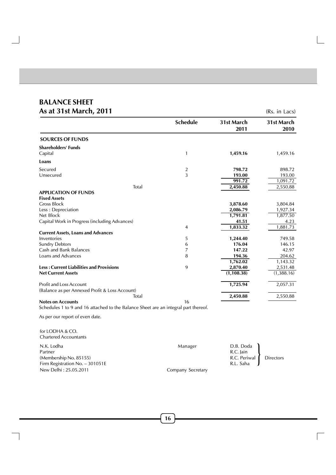## **BALANCE SHEET**  $\Delta s$  at 31st March, 2011

| AS AL 5 ISL MATCH, 2011                         |                 |                    | (RS. IN Lacs)      |
|-------------------------------------------------|-----------------|--------------------|--------------------|
|                                                 | <b>Schedule</b> | 31st March<br>2011 | 31st March<br>2010 |
| <b>SOURCES OF FUNDS</b>                         |                 |                    |                    |
| <b>Shareholders' Funds</b>                      |                 |                    |                    |
| Capital                                         | 1               | 1,459.16           | 1,459.16           |
| Loans                                           |                 |                    |                    |
| Secured                                         | $\overline{c}$  | 798.72             | 898.72             |
| Unsecured                                       | 3               | 193.00             | 193.00             |
|                                                 |                 | 991.72             | 1,091.72           |
| Total                                           |                 | 2,450.88           | 2,550.88           |
| <b>APPLICATION OF FUNDS</b>                     |                 |                    |                    |
| <b>Fixed Assets</b>                             |                 |                    |                    |
| <b>Gross Block</b>                              |                 | 3,878.60           | 3,804.84           |
| Less: Depreciation                              |                 | 2,086.79           | 1,927.34           |
| Net Block                                       |                 | 1,791.81           | 1,877.50           |
| Capital Work in Progress (including Advances)   |                 | 41.51              | 4.23               |
|                                                 | 4               | 1,833.32           | 1,881.73           |
| <b>Current Assets, Loans and Advances</b>       |                 |                    |                    |
| Inventories                                     | 5               | 1,244.40           | 749.58             |
| <b>Sundry Debtors</b>                           | 6               | 176.04             | 146.15             |
| Cash and Bank Balances                          | 7               | 147.22             | 42.97              |
| Loans and Advances                              | 8               | 194.36             | 204.62             |
|                                                 |                 | 1,762.02           | 1,143.32           |
| <b>Less: Current Liabilities and Provisions</b> | 9               | 2,870.40           | 2,531.48           |
| <b>Net Current Assets</b>                       |                 | (1, 108.38)        | (1,388.16)         |
| <b>Profit and Loss Account</b>                  |                 | 1,725.94           | 2,057.31           |
| (Balance as per Annexed Profit & Loss Account)  |                 |                    |                    |
| Total                                           |                 | 2,450.88           | 2,550.88           |
| <b>Notes on Accounts</b>                        | 16              |                    |                    |

Schedules 1 to 9 and 16 attached to the Balance Sheet are an integral part thereof.

As per our report of even date.

for LODHA & CO. Chartered Accountants

| N.K. Lodha<br>Partner<br>(Membership No. 85155)<br>Firm Registration No. $-301051E$ | Manager           | D.B. Doda<br>R.C. Jain<br>R.C. Periwal Directors<br>R.L. Saha |  |
|-------------------------------------------------------------------------------------|-------------------|---------------------------------------------------------------|--|
| New Delhi: 25.05.2011                                                               | Company Secretary |                                                               |  |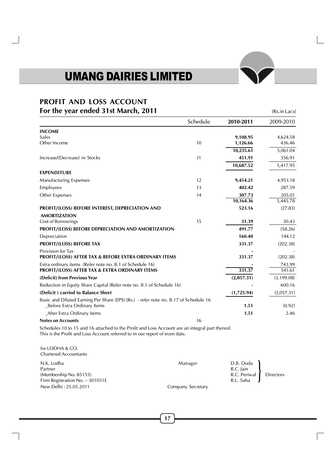# **PROFIT AND LOSS ACCOUNT For the year ended 31st March, 2011** (Rs.in Lacs)

|                                                                                                                      | Schedule | 2010-2011  | 2009-2010   |
|----------------------------------------------------------------------------------------------------------------------|----------|------------|-------------|
| <b>INCOME</b>                                                                                                        |          |            |             |
| Sales                                                                                                                |          | 9,108.95   | 4,624.58    |
| Other Income                                                                                                         | 10       | 1,126.66   | 436.46      |
|                                                                                                                      |          | 10,235.61  | 5,061.04    |
| Increase/(Decrease) in Stocks                                                                                        | 11       | 451.91     | 356.91      |
|                                                                                                                      |          | 10,687.52  | 5,417.95    |
| <b>EXPENDITURE</b>                                                                                                   |          |            |             |
| <b>Manufacturing Expenses</b>                                                                                        | 12       | 9,454.21   | 4,953.18    |
| Employees                                                                                                            | 13       | 402.42     | 287.59      |
| Other Expenses                                                                                                       | 14       | 307.73     | 205.01      |
|                                                                                                                      |          | 10,164.36  | 5,445.78    |
| <b>PROFIT/(LOSS) BEFORE INTEREST, DEPRECIATION AND</b>                                                               |          | 523.16     | (27.83)     |
| <b>AMORTIZATION</b>                                                                                                  |          |            |             |
| Cost of Borrowings                                                                                                   | 15       | 31.39      | 30.43       |
| <b>PROFIT/(LOSS) BEFORE DEPRECIATION AND AMORTIZATION</b>                                                            |          | 491.77     | (58.26)     |
| Depreciation                                                                                                         |          | 160.40     | 144.12      |
| <b>PROFIT/(LOSS) BEFORE TAX</b>                                                                                      |          | 331.37     | (202.38)    |
| Provision for Tax                                                                                                    |          |            |             |
| <b>PROFIT/(LOSS) AFTER TAX &amp; BEFORE EXTRA ORDINARY ITEMS</b>                                                     |          | 331.37     | (202.38)    |
| Extra ordinary items (Refer note no. B.1 of Schedule 16)                                                             |          |            | 743.99      |
| <b>PROFIT/(LOSS) AFTER TAX &amp; EXTRA ORDINARY ITEMS</b>                                                            |          | 331.37     | 541.61      |
| (Deficit) from Previous Year                                                                                         |          | (2,057.31) | (3, 199.08) |
| Reduction in Equity Share Capital (Refer note no. B.1 of Schedule 16)                                                |          |            | 600.16      |
| (Deficit) carried to Balance Sheet                                                                                   |          | (1,725.94) | (2,057.31)  |
| Basic and Diluted Earning Per Share (EPS) (Rs.) - refer note no. B.17 of Schedule 16<br>_Before Extra Ordinary Items |          | 1.51       | (0.92)      |
| After Extra Ordinary items                                                                                           |          | 1.51       | 2.46        |
| <b>Notes on Accounts</b>                                                                                             | 16       |            |             |

Schedules 10 to 15 and 16 attached to the Profit and Loss Account are an integral part thereof. This is the Profit and Loss Account referred to in our report of even date.

for LODHA & CO. Chartered Accountants N.K. Lodha Manager D.B. Doda Partner R.C. Jain (1989) 2008 19:30 19:30 19:30 19:30 19:30 19:30 19:30 19:30 19:30 19:30 19:30 19:30 19:30 19:30 19:30 19:30 19:30 19:30 19:30 19:30 19:30 19:30 19:30 19:30 19:30 19:30 19:30 19:30 19:30 19:30 19:30 19:30 (Membership No. 85155) R.C. Periwal Directors<br>
Firm Registration No. – 301051E R.L. Saha R.L. Saha R.L. Saha Directors Firm Registration No.  $-301051E$ <br>New Delhi : 25.05.2011 Company Secretary }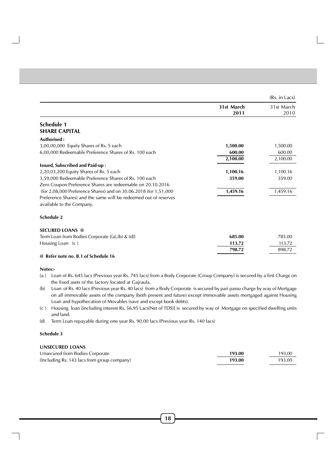|                                                                  |                    | (Rs. in Lacs)      |
|------------------------------------------------------------------|--------------------|--------------------|
|                                                                  | 31st March<br>2011 | 31st March<br>2010 |
| <b>Schedule 1</b>                                                |                    |                    |
| <b>SHARE CAPITAL</b>                                             |                    |                    |
| Authorised:                                                      |                    |                    |
| 3,00,00,000 Equity Shares of Rs. 5 each                          | 1,500.00           | 1,500.00           |
| 6,00,000 Redeemable Preference Shares of Rs. 100 each            | 600.00             | 600.00             |
|                                                                  | 2,100.00           | 2,100.00           |
| <b>Issued, Subscribed and Paid-up:</b>                           |                    |                    |
| 2,20,03,200 Equity Shares of Rs. 5 each                          | 1,100.16           | 1,100.16           |
| 3,59,000 Redeemable Preference Shares of Rs. 100 each            | 359.00             | 359.00             |
| Zero Coupon Preference Shares are redeemable on 20.10.2016       |                    |                    |
| (for 2,08,000 Preference Shares) and on 30.06.2018 (for 1,51,000 | 1,459.16           | 1,459.16           |
| Preference Shares) and the same will be redeemed out of reserves |                    |                    |
| available to the Company.                                        |                    |                    |
| <b>Schedule 2</b>                                                |                    |                    |
| <b>SECURED LOANS @</b>                                           |                    |                    |
| Term Loan from Bodies Corporate $\{(a),(b) \& (d)\}$             | 685.00             | 785.00             |
| Housing Loan (c)                                                 | 113.72             | 113.72             |
|                                                                  | 798.72             | 898.72             |
| $\odot$ Define Date Collections                                  |                    |                    |

#### **@ Refer note no. B.1 of Schedule 16**

#### **Notes:-**

- (a ) Loan of Rs. 645 lacs (Previous year Rs. 745 lacs) from a Body Corporate (Group Company) is secured by a first Charge on the fixed asets of the factory located at Gajraula.
- (b) Loan of Rs. 40 lacs (Previous year Rs. 40 lacs) from a Body Corporate is secured by pari passu charge by way of Mortgage on all immovable assets of the company (both present and future) except immovable assets mortgaged against Housing Loan and hypothecation of Movables (save and except book debts).
- (c ) Housing loan {including interest Rs. 56.95 Lacs(Net of TDS)} is secured by way of Mortgage on specified dwelling units and land.
- (d) Term Loan repayable during one year Rs. 90.00 lacs (Previous year Rs. 140 lacs)

#### **Schedule 3**

#### **UNSECURED LOANS**

| Unsecured from Bodies Corporate             | 193.00 | 193.00 |
|---------------------------------------------|--------|--------|
| (Including Rs. 143 lacs from group company) | 193.00 | 193.00 |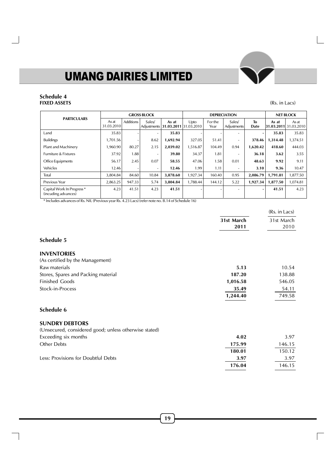## **Schedule 4 FIXED ASSETS** (Rs. in Lacs)

 $\Box$ 

|                                                              | <b>GROSS BLOCK</b>  |                  |                       | <b>DEPRECIATION</b>            |          |                          | <b>NET BLOCK</b>         |                        |          |                                |
|--------------------------------------------------------------|---------------------|------------------|-----------------------|--------------------------------|----------|--------------------------|--------------------------|------------------------|----------|--------------------------------|
| <b>PARTICULARS</b>                                           | As at<br>31.03.2010 | <b>Additions</b> | Sales/<br>Adjustments | As at<br>31.03.2011 31.03.2010 | Upto     | For the<br>Year          | Sales/<br>Adjustments    | T <sub>0</sub><br>Date | As at    | As at<br>31.03.2011 31.03.2010 |
| Land                                                         | 35.83               |                  | ۰                     | 35.83                          |          |                          |                          | $\blacksquare$         | 35.83    | 35.83                          |
| <b>Buildings</b>                                             | ,701.56             |                  | 8.62                  | 1,692.94                       | 327.05   | 51.41                    | $\overline{\phantom{0}}$ | 378.46                 | 1,314.48 | ,374.51                        |
| Plant and Machinery                                          | .960.90             | 80.27            | 2.15                  | 2,039.02                       | 1,516.87 | 104.49                   | 0.94                     | 1.620.42               | 418.60   | 444.03                         |
| Furniture & Fixtures                                         | 37.92               | 1.88             | ۰                     | 39.80                          | 34.37    | 1.81                     | ٠                        | 36.18                  | 3.62     | 3.55                           |
| Office Equipments                                            | 56.17               | 2.45             | 0.07                  | 58.55                          | 47.06    | 1.58                     | 0.01                     | 48.63                  | 9.92     | 9.11                           |
| Vehicles                                                     | 12.46               |                  | ۰                     | 12.46                          | 1.99     | 1.11                     | ٠                        | 3.10                   | 9.36     | 10.47                          |
| Total                                                        | 3.804.84            | 84.60            | 10.84                 | 3,878.60                       | 1,927.34 | 160.40                   | 0.95                     | 2.086.79               | 1.791.81 | 1,877.50                       |
| Previous Year                                                | 2,863.25            | 947.33           | 5.74                  | 3,804.84                       | 1,788.44 | 144.12                   | 5.22                     | 1,927.34               | 1,877.50 | 1,074.81                       |
| Capital Work In Progress <sup>*</sup><br>(incuding advances) | 4.23                | 41.51            | 4.23                  | 41.51                          |          | $\overline{\phantom{0}}$ | ٠                        | $\blacksquare$         | 41.51    | 4.23                           |

\* Includes advances of Rs. NIL (Previous year Rs. 4.23 Lacs) (refer note no. B.14 of Schedule 16)

|                                                       |                    | (Rs. in Lacs)      |
|-------------------------------------------------------|--------------------|--------------------|
|                                                       | 31st March<br>2011 | 31st March<br>2010 |
| Schedule 5                                            |                    |                    |
| <b>INVENTORIES</b>                                    |                    |                    |
| (As certified by the Management)                      |                    |                    |
| Raw materials                                         | 5.13               | 10.54              |
| Stores, Spares and Packing material                   | 187.20             | 138.88             |
| <b>Finished Goods</b>                                 | 1,016.58           | 546.05             |
| Stock-in-Process                                      | 35.49              | 54.11              |
|                                                       | 1,244.40           | 749.58             |
| Schedule 6                                            |                    |                    |
| <b>SUNDRY DEBTORS</b>                                 |                    |                    |
| (Unsecured, considered good; unless otherwise stated) |                    |                    |
| Exceeding six months                                  | 4.02               | 3.97               |
| Other Debts                                           | 175.99             | 146.15             |
|                                                       | 180.01             | 150.12             |
| Less: Provisions for Doubtful Debts                   | 3.97               | 3.97               |
|                                                       | 176.04             | 146.15             |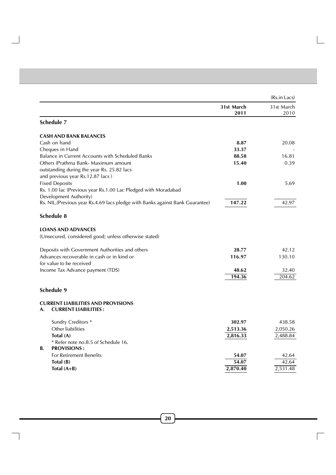|                                                                                |                    | (Rs.in Lacs)       |
|--------------------------------------------------------------------------------|--------------------|--------------------|
|                                                                                | 31st March<br>2011 | 31st March<br>2010 |
| Schedule 7                                                                     |                    |                    |
| <b>CASH AND BANK BALANCES</b>                                                  |                    |                    |
| Cash on hand                                                                   | 8.87               | 20.08              |
| Cheques in Hand                                                                | 33.37              |                    |
| Balance in Current Accounts with Scheduled Banks                               | 88.58              | 16.81              |
| Others (Prathma Bank- Maximum amount                                           | 15.40              | 0.39               |
| outstanding during the year Rs. 25.82 lacs                                     |                    |                    |
| and previous year Rs.12.87 lacs)                                               |                    |                    |
| <b>Fixed Deposits</b>                                                          | 1.00               | 5.69               |
| Rs. 1.00 lac (Previous year Rs.1.00 Lac Pledged with Moradabad                 |                    |                    |
| Development Authority)                                                         |                    |                    |
| Rs. NIL, (Previous year Rs.4.69 lacs pledge with Banks against Bank Guarantee) | 147.22             | 42.97              |
| Schedule 8                                                                     |                    |                    |
| <b>LOANS AND ADVANCES</b>                                                      |                    |                    |
| (Unsecured, considered good; unless otherwise stated)                          |                    |                    |
| Deposits with Government Authorities and others                                | 28.77              | 42.12              |
| Advances recoverable in cash or in kind or                                     | 116.97             | 130.10             |
| for value to be received                                                       |                    |                    |
| Income Tax Advance payment (TDS)                                               | 48.62              | 32.40              |
|                                                                                | 194.36             | 204.62             |
| Schedule 9                                                                     |                    |                    |
| <b>CURRENT LIABILITIES AND PROVISIONS</b><br><b>CURRENT LIABILITIES:</b><br>A. |                    |                    |
| Sundry Creditors *                                                             | 302.97             | 438.58             |
| Other liabilities                                                              | 2,513.36           | 2,050.26           |
| Total (A)                                                                      | 2,816.33           | 2,488.84           |
| * Refer note no.B.5 of Schedule 16.                                            |                    |                    |
| <b>PROVISIONS:</b><br><b>B.</b>                                                |                    |                    |
| <b>For Retirement Benefits</b>                                                 | 54.07              | 42.64              |
| Total (B)                                                                      | 54.07              | 42.64              |
| Total $(A+B)$                                                                  | 2,870.40           | 2,531.48           |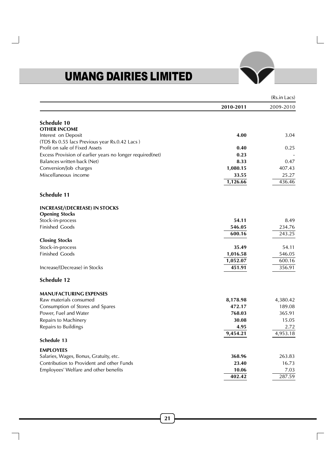|                                                           |           | (Rs.in Lacs) |
|-----------------------------------------------------------|-----------|--------------|
|                                                           | 2010-2011 | 2009-2010    |
| Schedule 10                                               |           |              |
| <b>OTHER INCOME</b>                                       |           |              |
| Interest on Deposit                                       | 4.00      | 3.04         |
| (TDS Rs 0.55 lacs Previous year Rs.0.42 Lacs)             |           |              |
| Profit on sale of Fixed Assets                            | 0.40      | 0.25         |
| Excess Provision of earlier years no longer required(net) | 0.23      |              |
| Balances written back (Net)                               | 8.33      | 0.47         |
| Conversion/Job charges                                    | 1,080.15  | 407.43       |
| Miscellaneous income                                      | 33.55     | 25.27        |
|                                                           | 1,126.66  | 436.46       |
| <b>Schedule 11</b>                                        |           |              |
| <b>INCREASE/(DECREASE) IN STOCKS</b>                      |           |              |
| <b>Opening Stocks</b>                                     |           |              |
| Stock-in-process                                          | 54.11     | 8.49         |
| <b>Finished Goods</b>                                     | 546.05    | 234.76       |
|                                                           | 600.16    | 243.25       |
| <b>Closing Stocks</b>                                     |           |              |
| Stock-in-process                                          | 35.49     | 54.11        |
| <b>Finished Goods</b>                                     | 1,016.58  | 546.05       |
|                                                           | 1,052.07  | 600.16       |
| Increase/(Decrease) in Stocks                             | 451.91    | 356.91       |
| <b>Schedule 12</b>                                        |           |              |
| <b>MANUFACTURING EXPENSES</b>                             |           |              |
| Raw materials consumed                                    | 8,178.98  | 4,380.42     |
| Consumption of Stores and Spares                          | 472.17    | 189.08       |
| Power, Fuel and Water                                     | 768.03    | 365.91       |
| Repairs to Machinery                                      | 30.08     | 15.05        |
| Repairs to Buildings                                      | 4.95      | 2.72         |
| Schedule 13                                               | 9,454.21  | 4,953.18     |
|                                                           |           |              |
| <b>EMPLOYEES</b>                                          |           |              |
| Salaries, Wages, Bonus, Gratuity, etc.                    | 368.96    | 263.83       |
| Contribution to Provident and other Funds                 | 23.40     | 16.73        |
| Employees' Welfare and other benefits                     | 10.06     | 7.03         |
|                                                           | 402.42    | 287.59       |

Г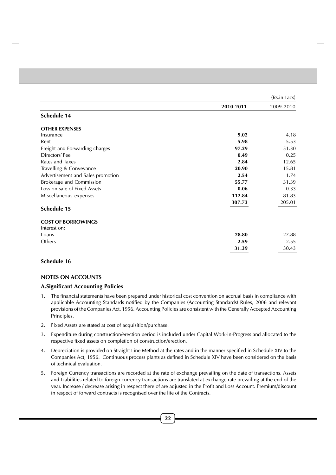|                                   |           | (Rs.in Lacs) |
|-----------------------------------|-----------|--------------|
|                                   | 2010-2011 | 2009-2010    |
| Schedule 14                       |           |              |
| <b>OTHER EXPENSES</b>             |           |              |
| Insurance                         | 9.02      | 4.18         |
| Rent                              | 5.98      | 5.53         |
| Freight and Forwarding charges    | 97.29     | 51.30        |
| Directors' Fee                    | 0.49      | 0.25         |
| Rates and Taxes                   | 2.84      | 12.65        |
| Travelling & Conveyance           | 20.90     | 15.81        |
| Advertisement and Sales promotion | 2.54      | 1.74         |
| Brokerage and Commission          | 55.77     | 31.39        |
| Loss on sale of Fixed Assets      | 0.06      | 0.33         |
| Miscellaneous expenses            | 112.84    | 81.83        |
|                                   | 307.73    | 205.01       |
| Schedule 15                       |           |              |
| <b>COST OF BORROWINGS</b>         |           |              |
| Interest on:                      |           |              |
| Loans                             | 28.80     | 27.88        |
| Others                            | 2.59      | 2.55         |
|                                   | 31.39     | 30.43        |

## **Schedule 16**

## **NOTES ON ACCOUNTS**

## **A.Significant Accounting Policies**

- 1. The financial statements have been prepared under historical cost convention on accrual basis in compliance with applicable Accounting Standards notified by the Companies (Accounting Standards) Rules, 2006 and relevant provisions of the Companies Act, 1956. Accounting Policies are consistent with the Generally Accepted Accounting Principles.
- 2. Fixed Assets are stated at cost of acquisition/purchase.
- 3. Expenditure during construction/erection period is included under Capital Work-in-Progress and allocated to the respective fixed assets on completion of construction/erection.
- 4. Depreciation is provided on Straight Line Method at the rates and in the manner specified in Schedule XIV to the Companies Act, 1956. Continuous process plants as defined in Schedule XIV have been considered on the basis of technical evaluation.
- 5. Foreign Currency transactions are recorded at the rate of exchange prevailing on the date of transactions. Assets and Liabilities related to foreign currency transactions are translated at exchange rate prevailing at the end of the year. Increase / decrease arising in respect there of are adjusted in the Profit and Loss Account. Premium/discount in respect of forward contracts is recognised over the life of the Contracts.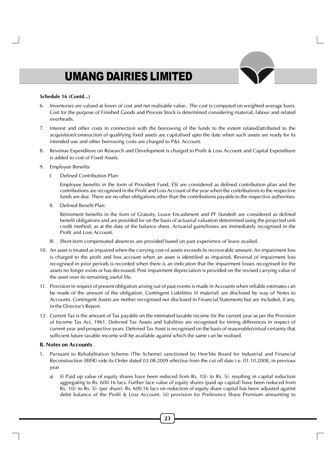#### **Schedule 16 (Contd...)**

- 6. Inventories are valued at lower of cost and net realisable value. The cost is computed on weighted average basis. Cost for the purpose of Finished Goods and Process Stock is determined considering material, labour and related overheads.
- 7. Interest and other costs in connection with the borrowing of the funds to the extent related/attributed to the acquisition/construction of qualifying fixed assets are capitalised upto the date when such assets are ready for its intended use and other borrowing costs are charged to P&L Account.
- 8. Revenue Expenditure on Research and Development is charged to Profit & Loss Account and Capital Expenditure is added to cost of Fixed Assets.
- 9. Employee Benefits
	- I. Defined Contribution Plan:

Employee benefits in the form of Provident Fund, ESI are considered as defined contribution plan and the contributions are recognised in the Profit and Loss Account of the year when the contributions to the respective funds are due. There are no other obligations other than the contributions payable to the respective authorities.

II. Defined Benefit Plan:

Retirement benefits in the form of Gratuity, Leave Encashment and PF (funded) are considered as defined benefit obligations and are provided for on the basis of actuarial valuation determined using the projected unit credit method, as at the date of the balance sheet. Actuarial gains/losses are immediately recognised in the Profit and Loss Account.

- III. Short-term compensated absences are provided based on past experience of leave availed.
- 10. An asset is treated as impaired when the carrying cost of assets exceeds its recoverable amount. An impairment loss is charged to the profit and loss account when an asset is identified as impaired. Reversal of impairment loss recognised in prior periods is recorded when there is an indication that the impairment losses recognised for the assets no longer exists or has decreased. Post impairment depreciation is provided on the revised carrying value of the asset over its remaining useful life.
- 11. Provision in respect of present obligation arising out of past events is made in Accounts when reliable estimates can be made of the amount of the obligation. Contingent Liabilities (if material) are disclosed by way of Notes to Accounts. Contingent Assets are neither recognised nor disclosed in Financial Statements but are included, if any, in the Director's Report.
- 12. Current Tax is the amount of Tax payable on the estimated taxable income for the current year as per the Provision of Income Tax Act, 1961. Deferred Tax Assets and liabilities are recognised for timing differences in respect of current year and prospective years. Deferred Tax Asset is recognised on the basis of reasonable/virtual certainty that sufficient future taxable income will be available against which the same can be realised.

#### **B. Notes on Accounts**

- 1. Pursuant to Rehabilitation Scheme (The Scheme) sanctioned by Hon'ble Board for Industrial and Financial Reconstruction (BIFR) vide its Order dated 03.08.2009 effective from the cut off date i.e. 01.10.2008, in previous year
	- a) (i) Paid up value of equity shares have been reduced from Rs. 10/- to Rs. 5/- resulting in capital reduction aggregating to Rs. 600.16 lacs. Further face value of equity shares (paid up capital) have been reduced from Rs. 10/- to Rs. 5/- (per share). Rs. 600.16 lacs on reduction of equity share capital has been adjusted against debit balance of the Profit & Loss Account. (ii) provision for Preference Share Premium amounting to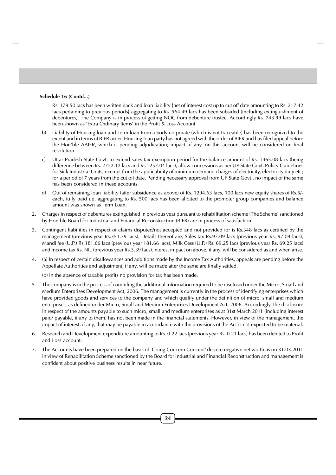#### **Schedule 16 (Contd...)**

Rs. 179.50 lacs has been written back and loan liability {net of interest cost up to cut off date amounting to Rs. 217.42 lacs pertaining to previous periods} aggregating to Rs. 564.49 lacs has been subsided (including extinguishment of debentures). The Company is in process of getting NOC from debenture trustee. Accordingly Rs. 743.99 lacs have been shown as 'Extra Ordinary Items' in the Profit & Loss Account.

- b) Liability of Housing loan and Term loan from a body corporate (which is not traceable) has been recognized to the extent and in terms of BIFR order. Housing loan party has not agreed with the order of BIFR and has filed appeal before the Hon'ble AAIFR, which is pending adjudication; impact, if any, on this account will be considered on final resolution.
- c) Uttar Pradesh State Govt. to extend sales tax exemption period for the balance amount of Rs. 1465.08 lacs (being difference between Rs. 2722.12 lacs and Rs 1257.04 lacs), allow concessions as per UP State Govt. Policy Guidelines for Sick Industrial Units, exempt from the applicability of minimum demand charges of electricity, electricity duty etc; for a period of 7 years from the cut off date. Pending necessary approval from UP State Govt., no impact of the same has been considered in these accounts.
- d) Out of remaining loan liability (after subsidence as above) of Rs. 1294.63 lacs, 100 lacs new equity shares of Rs.5/ each, fully paid up, aggregating to Rs. 500 lacs has been allotted to the promoter group companies and balance amount was shown as Term Loan.
- 2. Charges in respect of debentures extinguished in previous year pursuant to rehabilitation scheme (The Scheme) sanctioned by Hon'ble Board for Industrial and Financial Reconstruction (BIFR) are in process of satisfaction.
- 3. Contingent liabilities in respect of claims disputed/not accepted and not provided for is Rs.348 lacs as certified by the management (previous year Rs.351.39 lacs). Details thereof are, Sales tax Rs.97.09 lacs (previous year Rs. 97.09 lacs), Mandi fee (U.P.) Rs.181.66 lacs (previous year 181.66 lacs), Milk Cess (U.P.) Rs. 69.25 lacs (previous year Rs. 69.25 lacs) and Income tax Rs. NIL (previous year Rs.3.39 lacs).Interest impact on above, if any, will be considered as and when arise.
- 4. (a) In respect of certain disallowances and additions made by the Income Tax Authorities, appeals are pending before the Appellate Authorities and adjustment, if any, will be made after the same are finally settled.

(b) In the absence of taxable profits no provision for tax has been made.

- 5. The company is in the process of compiling the additional information required to be disclosed under the Micro, Small and Medium Enterprises Development Act, 2006. The management is currently in the process of identifying enterprises which have provided goods and services to the company and which qualify under the definition of micro, small and medium enterprises, as defined under Micro, Small and Medium Enterprises Development Act, 2006. Accordingly, the disclosure in respect of the amounts payable to such micro, small and medium enterprises as at 31st March 2011 (including interest paid/ payable, if any to them) has not been made in the financial statements. However, in view of the management, the impact of interest, if any, that may be payable in accordance with the provisions of the Act is not expected to be material.
- 6. Research and Development expenditure amounting to Rs. 0.22 lacs (previous year Rs. 0.21 lacs) has been debited to Profit and Loss account.
- 7. The Accounts have been prepared on the basis of 'Going Concern Concept' despite negative net worth as on 31.03.2011 in view of Rehabilitation Scheme sanctioned by the Board for Industrial and Financial Reconstruction and management is confident about positive business results in near future.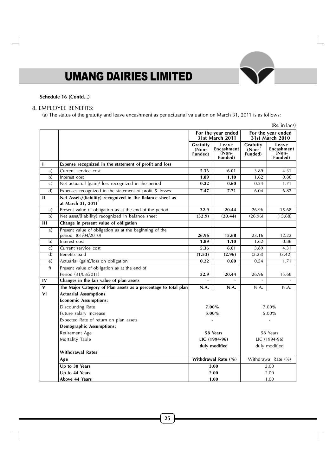## **Schedule 16 (Contd...)**

## 8. EMPLOYEE BENEFITS:

(a) The status of the gratuity and leave encashment as per actuarial valuation on March 31, 2011 is as follows:

|                         |                                                                                |                                |                                           |                              | (Rs. in lacs)                               |
|-------------------------|--------------------------------------------------------------------------------|--------------------------------|-------------------------------------------|------------------------------|---------------------------------------------|
|                         |                                                                                |                                | For the year ended<br>31st March 2011     |                              | For the year ended<br>31st March 2010       |
|                         |                                                                                | Gratuity<br>$(Non-$<br>Funded) | Leave<br>Encashment<br>$(Non-$<br>Funded) | Gratuity<br>(Non-<br>Funded) | Leave<br>Encashment  <br>$(Non-$<br>Funded) |
| $\mathbf{I}$            | Expense recognized in the statement of profit and loss                         |                                |                                           |                              |                                             |
| a)                      | Current service cost                                                           | 5.36                           | 6.01                                      | 3.89                         | 4.31                                        |
| b)                      | Interest cost                                                                  | 1.89                           | 1.10                                      | 1.62                         | 0.86                                        |
| c)                      | Net actuarial (gain)/ loss recognized in the period                            | 0.22                           | 0.60                                      | 0.54                         | 1.71                                        |
| $\overline{d}$          | Expenses recognized in the statement of profit & losses                        | 7.47                           | 7.71                                      | 6.04                         | 6.87                                        |
| $\mathbf{H}$            | Net Assets/(liability) recognized in the Balance sheet as<br>at March 31, 2011 |                                |                                           |                              |                                             |
| a)                      | Present value of obligation as at the end of the period                        | 32.9                           | 20.44                                     | 26.96                        | 15.68                                       |
| $\mathbf{b}$            | Net asset/(liability) recognized in balance sheet                              | (32.9)                         | (20.44)                                   | (26.96)                      | (15.68)                                     |
| Ш                       | Change in present value of obligation                                          |                                |                                           |                              |                                             |
| a)                      | Present value of obligation as at the beginning of the<br>period (01/04/2010)  | 26.96                          | 15.68                                     | 23.16                        | 12.22                                       |
| b)                      | Interest cost                                                                  | 1.89                           | 1.10                                      | 1.62                         | 0.86                                        |
| $\mathsf{C}$            | Current service cost                                                           | 5.36                           | 6.01                                      | 3.89                         | 4.31                                        |
| d)                      | Benefits paid                                                                  | (1.53)                         | (2.96)                                    | (2.23)                       | (3.42)                                      |
| $\epsilon$ )            | Actuarial (gain)/loss on obligation                                            | 0.22                           | 0.60                                      | 0.54                         | 1.71                                        |
| f)                      | Present value of obligation as at the end of<br>Period (31/03/2011)            | 32.9                           | 20.44                                     | 26.96                        | 15.68                                       |
| IV                      | Changes in the fair value of plan assets                                       |                                |                                           |                              |                                             |
| $\overline{\mathbf{v}}$ | The Major Category of Plan assets as a percentage to total plan                | N.A.                           | N.A.                                      | N.A.                         | N.A.                                        |
| VI                      | <b>Actuarial Assumptions</b>                                                   |                                |                                           |                              |                                             |
|                         | <b>Economic Assumptions:</b>                                                   |                                |                                           |                              |                                             |
|                         | Discounting Rate                                                               | 7.00%                          |                                           |                              | 7.00%                                       |
|                         | Future salary Increase                                                         | $5.00\%$                       |                                           |                              | 5.00%                                       |
|                         | Expected Rate of return on plan assets                                         |                                |                                           |                              |                                             |
|                         | <b>Demographic Assumptions:</b>                                                |                                |                                           |                              |                                             |
|                         | Retirement Age                                                                 | 58 Years                       |                                           | 58 Years                     |                                             |
|                         | Mortality Table                                                                | LIC (1994-96)                  |                                           |                              | LIC (1994-96)                               |
|                         |                                                                                | duly modified                  |                                           |                              | duly modified                               |
|                         | <b>Withdrawal Rates</b>                                                        |                                |                                           |                              |                                             |
|                         | Age                                                                            |                                | Withdrawal Rate (%)                       |                              | Withdrawal Rate (%)                         |
|                         | Up to 30 Years                                                                 |                                | 3.00                                      |                              | 3.00                                        |
|                         | Up to 44 Years                                                                 |                                | 2.00                                      |                              | 2.00                                        |
|                         | <b>Above 44 Years</b>                                                          | 1.00                           |                                           | 1.00                         |                                             |

Г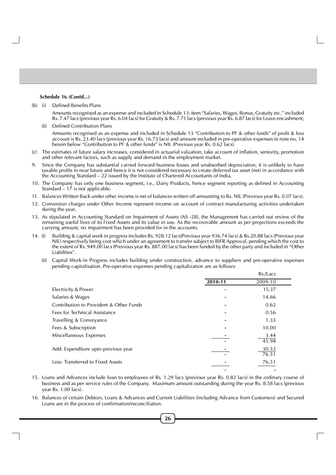#### **Schedule 16 (Contd...)**

(b) (i) Defined Benefits Plans

Amounts recognised as an expense and included in Schedule 13: item "Salaries, Wages, Bonus, Gratuity etc." included Rs. 7.47 lacs (previous year Rs. 6.04 lacs) for Gratuity & Rs. 7.71 lacs (previous year Rs. 6.87 lacs) for Leave encashment;

(ii) Defined Contribution Plans

Amounts recognised as an expense and included in Schedule 13 "Contribution to PF & other funds" of profit & loss account is Rs. 23.40 lacs (previous year Rs. 16.73 lacs) and amount included in pre-operative expenses in note no. 14 herein below "Contribution to PF & other funds" is NIL (Previous year Rs. 0.62 lacs).

- (c) The estimates of future salary increases, considered in actuarial valuation, take account of inflation, seniority, promotion and other relevant factors, such as supply and demand in the employment market.
- 9. Since the Company has substantial carried forward business losses and unabsorbed depreciation, it is unlikely to have taxable profits in near future and hence it is not considered necessary to create deferred tax asset (net) in accordance with the Accounting Standard – 22 issued by the Institute of Chartered Accountants of India.
- 10. The Company has only one business segment, i.e., Dairy Products, hence segment reporting as defined in Accounting Standard  $-17$  is not applicable.
- 11. Balances Written Back under other income is net of balances written off amounting to Rs. NIL (Previous year Rs. 0.07 lacs).
- 12. Conversion charges under Other Income represent income on account of contract manufacturing activities undertaken during the year.
- 13. As stipulated in Accounting Standard on Impairment of Assets (AS -28), the Management has carried out review of the remaining useful lives of its Fixed Assets and its value in use. As the recoverable amount as per projections exceeds the carrying amount, no impairment has been provided for in the accounts.
- 14. (i) Building & capital work in progress includes Rs. 928.12 lacs(Previous year 936.74 lacs) & Rs.20.88 lacs (Previous year NIL) respectively being cost which under an agreement to transfer subject to BIFR Approval, pending which the cost to the extent of Rs. 949.00 lacs (Previous year Rs. 887.00 lacs) has been funded by the other party and included in "Other Liabilities".
	- (ii) Capital Work-in Progress includes building under construction, advance to suppliers and pre-operative expenses pending capitalisation. Pre-operative expenses pending capitalization are as follows:

|                                         |         | Rs./Lacs       |  |
|-----------------------------------------|---------|----------------|--|
|                                         | 2010-11 | 2009-10        |  |
| Electricity & Power                     |         | 15.37          |  |
| Salaries & Wages                        |         | 14.66          |  |
| Contribution to Provident & Other Funds |         | 0.62           |  |
| Fees for Technical Assistance           |         | 0.56           |  |
| Travelling & Conveyance                 |         | 1.33           |  |
| Fees & Subscription                     |         | 10.00          |  |
| Miscellaneous Expenses                  |         | 3.44<br>45.98  |  |
| Add: Expenditure upto previous year     |         | 30.53<br>76.51 |  |
| Less: Transferred to Fixed Assets       |         | 76.51          |  |
|                                         |         |                |  |

- 15. Loans and Advances include loan to employees of Rs. 1.29 lacs (previous year Rs. 0.82 lacs) in the ordinary course of business and as per service rules of the Company. Maximum amount outstanding during the year Rs. 8.58 lacs (previous year Rs. 1.00 lacs).
- 16. Balances of certain Debtors, Loans & Advances and Current Liabilities (including Advance from Customers) and Secured Loans are in the process of confirmation/reconciliation.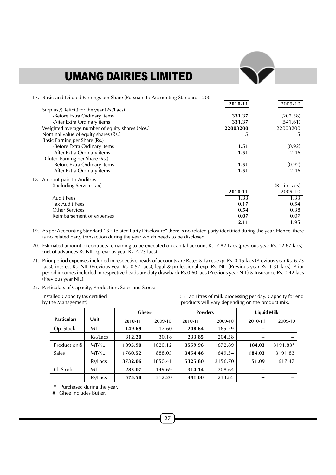| 17. Basic and Diluted Earnings per Share (Pursuant to Accounting Standard - 20): |          |               |
|----------------------------------------------------------------------------------|----------|---------------|
|                                                                                  | 2010-11  | 2009-10       |
| Surplus /(Deficit) for the year (Rs./Lacs)                                       |          |               |
| -Before Extra Ordinary Items                                                     | 331.37   | (202.38)      |
| -After Extra Ordinary items                                                      | 331.37   | (541.61)      |
| Weighted average number of equity shares (Nos.)                                  | 22003200 | 22003200      |
| Nominal value of equity shares (Rs.)                                             | 5        | 5             |
| Basic Earning per Share (Rs.)                                                    |          |               |
| -Before Extra Ordinary Items                                                     | 1.51     | (0.92)        |
| -After Extra Ordinary items                                                      | 1.51     | 2.46          |
| Diluted Earning per Share (Rs.)                                                  |          |               |
| -Before Extra Ordinary Items                                                     | 1.51     | (0.92)        |
| -After Extra Ordinary items                                                      | 1.51     | 2.46          |
| 18. Amount paid to Auditors:                                                     |          |               |
| (Including Service Tax)                                                          |          | (Rs. in Lacs) |
|                                                                                  | 2010-11  | 2009-10       |
| <b>Audit Fees</b>                                                                | 1.33     | 1.33          |
| <b>Tax Audit Fees</b>                                                            | 0.17     | 0.54          |
| <b>Other Services</b>                                                            | 0.54     | 0.38          |
| Reimbursement of expenses                                                        | 0.07     | 0.07          |
|                                                                                  | 2.11     | 1.95          |

19. As per Accounting Standard 18 "Related Party Disclosure" there is no related party identified during the year. Hence, there is no related party transaction during the year which needs to be disclosed.

20. Estimated amount of contracts remaining to be executed on capital account Rs. 7.82 Lacs (previous year Rs. 12.67 lacs), {net of advances Rs.NIL (previous year Rs. 4.23 lacs)}.

21. Prior period expenses included in respective heads of accounts are Rates & Taxes exp. Rs. 0.15 lacs (Previous year Rs. 6.23 lacs), interest Rs. NIL (Previous year Rs. 0.57 lacs), legal & professional exp. Rs. NIL (Previous year Rs. 1.31 lacs). Prior period incomes included in respective heads are duty drawback Rs.0.60 lacs (Previous year NIL) & Insurance Rs. 0.42 lacs (Previous year NIL).

22. Particulars of Capacity, Production, Sales and Stock:

| Installed Capacity (as certified<br>by the Management) |          |         |         |                |         | products will vary depending on the product mix. | : 3 Lac Litres of milk processing per day. Capacity for end |
|--------------------------------------------------------|----------|---------|---------|----------------|---------|--------------------------------------------------|-------------------------------------------------------------|
|                                                        |          |         | Ghee#   | <b>Powders</b> |         |                                                  | <b>Liquid Milk</b>                                          |
| <b>Particulars</b>                                     | Unit     | 2010-11 | 2009-10 | 2010-11        | 2009-10 | 2010-11                                          | 2009-10                                                     |
| Op. Stock                                              | MT       | 149.69  | 17.60   | 208.64         | 185.29  | --                                               | $- -$                                                       |
|                                                        | Rs./Lacs | 312.20  | 30.18   | 233.85         | 204.58  | --                                               | $- -$                                                       |

Production@ MT/KL **1895.90** 1020.12 **3559.96** 1672.89 **184.03** 3191.83\* Sales MT/KL **1760.52** 888.03 **3454.46** 1649.54 **184.03** 3191.83

Cl. Stock MT **285.07** 149.69 **314.14** 208.64 **--** --

Rs/Lacs **3732.06** 1850.41 **5325.80** 2156.70 **51.09** 617.47

Rs/Lacs **575.58** 312.20 **441.00** 233.85 **--** --

Purchased during the year.

# Ghee includes Butter.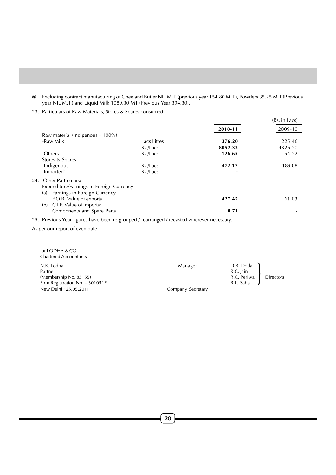- @ Excluding contract manufacturing of Ghee and Butter NIL M.T. (previous year 154.80 M.T.), Powders 35.25 M.T (Previous year NIL M.T.) and Liquid Milk 1089.30 MT (Previous Year 394.30).
- 23. Particulars of Raw Materials, Stores & Spares consumed:

|                                                                                                                     |             |         | (Rs. in Lacs) |
|---------------------------------------------------------------------------------------------------------------------|-------------|---------|---------------|
|                                                                                                                     |             | 2010-11 | 2009-10       |
| Raw material (Indigenous – 100%)                                                                                    |             |         |               |
| -Raw Milk                                                                                                           | Lacs Litres | 376.20  | 225.46        |
|                                                                                                                     | Rs./Lacs    | 8052.33 | 4326.20       |
| -Others                                                                                                             | Rs./Lacs    | 126.65  | 54.22         |
| Stores & Spares                                                                                                     |             |         |               |
| -Indigenous                                                                                                         | Rs./Lacs    | 472.17  | 189.08        |
| -Imported`                                                                                                          | Rs./Lacs    | ۰       |               |
| <b>Other Particulars:</b><br>24.<br>Expenditure/Earnings in Foreign Currency<br>Earnings in Foreign Currency<br>(a) |             |         |               |
| F.O.B. Value of exports<br>C.I.F. Value of Imports:<br>(b)                                                          |             | 427.45  | 61.03         |
| Components and Spare Parts                                                                                          |             | 0.71    |               |

25. Previous Year figures have been re-grouped / rearranged / recasted wherever necessary.

As per our report of even date.

| for LODHA & CO.<br><b>Chartered Accountants</b>                                    |                   |                                                     |                  |
|------------------------------------------------------------------------------------|-------------------|-----------------------------------------------------|------------------|
| N.K. Lodha<br>Partner<br>(Membership No. 85155)<br>Firm Registration No. - 301051E | Manager           | D.B. Doda<br>R.C. Jain<br>R.C. Periwal<br>R.L. Saha | <b>Directors</b> |
| New Delhi: 25.05.2011                                                              | Company Secretary |                                                     |                  |

**28**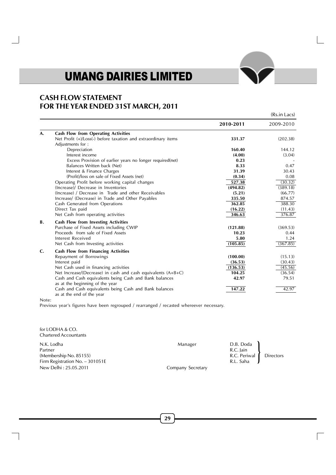# **CASH FLOW STATEMENT FOR THE YEAR ENDED 31ST MARCH, 2011**

|              |                                                                |           | (Rs.in Lacs) |
|--------------|----------------------------------------------------------------|-----------|--------------|
|              |                                                                | 2010-2011 | 2009-2010    |
| A.           | <b>Cash Flow from Operating Activities</b>                     |           |              |
|              | Net Profit (+)/Loss(-) before taxation and extraordinary items | 331.37    | (202.38)     |
|              | Adjustments for :                                              |           |              |
|              | Depreciation                                                   | 160.40    | 144.12       |
|              | Interest income                                                | (4.00)    | (3.04)       |
|              | Excess Provision of earlier years no longer required(net)      | 0.23      |              |
|              | Balances Written back (Net)                                    | 8.33      | 0.47         |
|              | Interest & Finance Charges                                     | 31.39     | 30.43        |
|              | (Profit)/loss on sale of Fixed Assets (net)                    | (0.34)    | 0.08         |
|              | Operating Profit before working capital changes                | 527.38    | (30.32)      |
|              | (Increase)/ Decrease in Inventories                            | (494.82)  | (389.18)     |
|              | (Increase) / Decrease in Trade and other Receivables           | (5.21)    | (66.77)      |
|              | Increase/ (Decrease) in Trade and Other Payables               | 335.50    | 874.57       |
|              | Cash Generated from Operations                                 | 362.85    | 388.30       |
|              | Direct Tax paid                                                | (16.22)   | (11.43)      |
|              | Net Cash from operating activities                             | 346.63    | 376.87       |
| <b>B.</b>    | Cash Flow from Investing Activities                            |           |              |
|              | Purchase of Fixed Assets including CWIP                        | (121.88)  | (369.53)     |
|              | Proceeds from sale of Fixed Assets                             | 10.23     | 0.44         |
|              | Interest Received                                              | 5.80      | 1.24         |
|              | Net Cash from Investing activities                             | (105.85)  | (367.85)     |
| $\mathbf{C}$ | <b>Cash Flow from Financing Activities</b>                     |           |              |
|              | Repayment of Borrowings                                        | (100.00)  | (15.13)      |
|              | Interest paid                                                  | (36.53)   | (30.43)      |
|              | Net Cash used in financing activities                          | (136.53)  | (45.56)      |
|              | Net Increase/(Decrease) in cash and cash equivalents (A+B+C)   | 104.25    | (36.54)      |
|              | Cash and Cash equivalents being Cash and Bank balances         | 42.97     | 79.51        |
|              | as at the beginning of the year                                |           |              |
|              | Cash and Cash equivalents being Cash and Bank balances         | 147.22    | 42.97        |
|              | as at the end of the year                                      |           |              |

Note:

Previous year's figures have been regrouped / rearranged / recasted whereever necessary.

| for LODHA & CO.<br><b>Chartered Accountants</b> |                   |                        |                  |
|-------------------------------------------------|-------------------|------------------------|------------------|
| N.K. Lodha<br>Partner                           | Manager           | D.B. Doda<br>R.C. Jain |                  |
| (Membership No. 85155)                          |                   | R.C. Periwal           | <b>Directors</b> |
| Firm Registration No. $-301051E$                |                   | R.L. Saha              |                  |
| New Delhi: 25.05.2011                           | Company Secretary |                        |                  |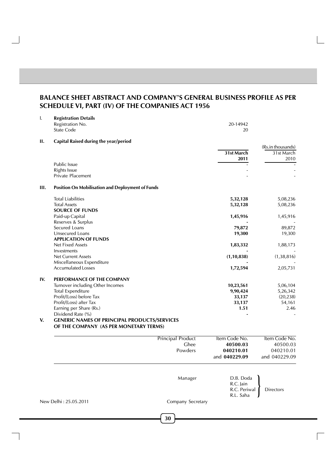# **BALANCE SHEET ABSTRACT AND COMPANY'S GENERAL BUSINESS PROFILE AS PER SCHEDULE VI, PART (IV) OF THE COMPANIES ACT 1956**

| Ι.  | <b>Registration Details</b><br>Registration No.<br><b>State Code</b>                          |                          | 20-14942<br>20 |                   |
|-----|-----------------------------------------------------------------------------------------------|--------------------------|----------------|-------------------|
| П.  | Capital Raised during the year/period                                                         |                          |                |                   |
|     |                                                                                               |                          |                | (Rs.in thousands) |
|     |                                                                                               |                          | 31st March     | 31st March        |
|     |                                                                                               |                          | 2011           | 2010              |
|     | <b>Public Issue</b>                                                                           |                          |                |                   |
|     | <b>Rights Issue</b><br>Private Placement                                                      |                          |                |                   |
|     |                                                                                               |                          |                |                   |
| Ш.  | <b>Position On Mobilisation and Deployment of Funds</b>                                       |                          |                |                   |
|     | <b>Total Liabilities</b>                                                                      |                          | 5,32,128       | 5,08,236          |
|     | <b>Total Assets</b>                                                                           |                          | 5,32,128       | 5,08,236          |
|     | <b>SOURCE OF FUNDS</b>                                                                        |                          |                |                   |
|     | Paid-up Capital                                                                               |                          | 1,45,916       | 1,45,916          |
|     | Reserves & Surplus                                                                            |                          |                |                   |
|     | Secured Loans                                                                                 |                          | 79,872         | 89,872            |
|     | Unsecured Loans                                                                               |                          | 19,300         | 19,300            |
|     | <b>APPLICATION OF FUNDS</b>                                                                   |                          |                |                   |
|     | <b>Net Fixed Assets</b>                                                                       |                          | 1,83,332       | 1,88,173          |
|     | Investments<br><b>Net Current Assets</b>                                                      |                          | (1, 10, 838)   | (1, 38, 816)      |
|     | Miscellaneous Expenditure                                                                     |                          |                |                   |
|     | <b>Accumulated Losses</b>                                                                     |                          | 1,72,594       | 2,05,731          |
|     |                                                                                               |                          |                |                   |
| IV. | PERFORMANCE OF THE COMPANY                                                                    |                          |                |                   |
|     | Turnover including Other Incomes                                                              |                          | 10,23,561      | 5,06,104          |
|     | <b>Total Expenditure</b>                                                                      |                          | 9,90,424       | 5,26,342          |
|     | Profit/(Loss) before Tax                                                                      |                          | 33,137         | (20, 238)         |
|     | Profit/(Loss) after Tax                                                                       |                          | 33,137         | 54,161            |
|     | Earning per Share (Rs.)                                                                       |                          | 1.51           | 2.46              |
|     | Dividend Rate (%)                                                                             |                          |                |                   |
| V.  | <b>GENERIC NAMES OF PRINCIPAL PRODUCTS/SERVICES</b><br>OF THE COMPANY (AS PER MONETARY TERMS) |                          |                |                   |
|     |                                                                                               | <b>Principal Product</b> | Item Code No.  | Item Code No.     |
|     |                                                                                               | Ghee                     | 40500.03       | 40500.03          |
|     |                                                                                               | Powders                  | 040210.01      | 040210.01         |
|     |                                                                                               |                          | and 040229.09  | and 040229.09     |
|     |                                                                                               |                          |                |                   |
|     |                                                                                               | Manager                  | D.B. Doda      |                   |
|     |                                                                                               |                          | R.C. Jain      |                   |
|     |                                                                                               |                          | R.C. Periwal   | Directors         |
|     |                                                                                               |                          | R.L. Saha      |                   |
|     | New Delhi: 25.05.2011                                                                         | Company Secretary        |                |                   |
|     |                                                                                               |                          |                |                   |
|     |                                                                                               | 30                       |                |                   |
|     |                                                                                               |                          |                |                   |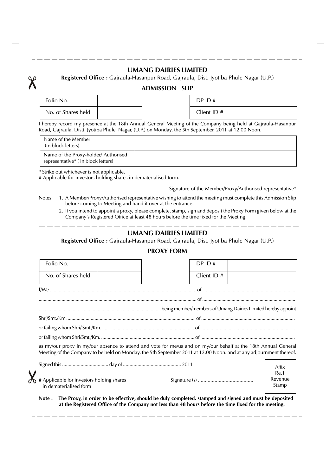|                                                                                                                                                                                                                                      | <b>ADMISSION SLIP</b>        |             |                                                          |               |
|--------------------------------------------------------------------------------------------------------------------------------------------------------------------------------------------------------------------------------------|------------------------------|-------------|----------------------------------------------------------|---------------|
| Folio No.                                                                                                                                                                                                                            |                              | DP ID#      |                                                          |               |
| No. of Shares held                                                                                                                                                                                                                   |                              | Client ID # |                                                          |               |
| I hereby record my presence at the 18th Annual General Meeting of the Company being held at Gajraula-Hasanpur<br>Road, Gajraula, Distt. Jyotiba Phule Nagar, (U.P.) on Monday, the 5th September, 2011 at 12.00 Noon.                |                              |             |                                                          |               |
| Name of the Member<br>(in block letters)                                                                                                                                                                                             |                              |             |                                                          |               |
| Name of the Proxy-holder/ Authorised<br>representative* (in block letters)                                                                                                                                                           |                              |             |                                                          |               |
| * Strike out whichever is not applicable.<br># Applicable for investors holding shares in dematerialised form.                                                                                                                       |                              |             |                                                          |               |
|                                                                                                                                                                                                                                      |                              |             | Signature of the Member/Proxy/Authorised representative* |               |
| 1. A Member/Proxy/Authorised representative wishing to attend the meeting must complete this Admission Slip<br>Notes:<br>before coming to Meeting and hand it over at the entrance.                                                  |                              |             |                                                          |               |
| 2. If you intend to appoint a proxy, please complete, stamp, sign and deposit the Proxy Form given below at the<br>Company's Registered Office at least 48 hours before the time fixed for the Meeting.                              |                              |             |                                                          |               |
|                                                                                                                                                                                                                                      |                              |             |                                                          |               |
|                                                                                                                                                                                                                                      |                              |             |                                                          |               |
|                                                                                                                                                                                                                                      | <b>UMANG DAIRIES LIMITED</b> |             |                                                          |               |
| Registered Office : Gajraula-Hasanpur Road, Gajraula, Dist. Jyotiba Phule Nagar (U.P.)                                                                                                                                               | <b>PROXY FORM</b>            |             |                                                          |               |
| Folio No.                                                                                                                                                                                                                            |                              | DP ID#      |                                                          |               |
| No. of Shares held                                                                                                                                                                                                                   |                              | Client ID # |                                                          |               |
|                                                                                                                                                                                                                                      |                              |             |                                                          |               |
|                                                                                                                                                                                                                                      |                              |             |                                                          |               |
|                                                                                                                                                                                                                                      |                              |             |                                                          |               |
|                                                                                                                                                                                                                                      |                              |             |                                                          |               |
|                                                                                                                                                                                                                                      |                              |             |                                                          |               |
|                                                                                                                                                                                                                                      |                              |             |                                                          |               |
| as my/our proxy in my/our absence to attend and vote for me/us and on my/our behalf at the 18th Annual General<br>Meeting of the Company to be held on Monday, the 5th September 2011 at 12.00 Noon. and at any adjournment thereof. |                              |             |                                                          |               |
|                                                                                                                                                                                                                                      |                              |             |                                                          | Affix<br>Re.1 |

 $\overline{\phantom{0}}$ 

 $\mathbb{R}$ 

 $\overline{\phantom{a}}$